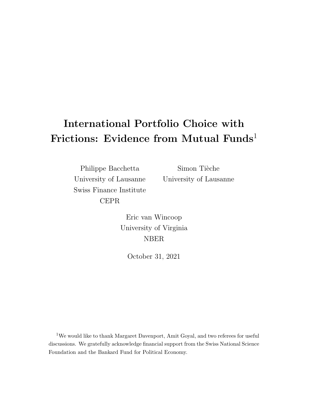# International Portfolio Choice with Frictions: Evidence from Mutual Funds<sup>1</sup>

Philippe Bacchetta University of Lausanne Swiss Finance Institute CEPR

Simon Tièche University of Lausanne

Eric van Wincoop University of Virginia NBER

October 31, 2021

<sup>1</sup>We would like to thank Margaret Davenport, Amit Goyal, and two referees for useful discussions. We gratefully acknowledge financial support from the Swiss National Science Foundation and the Bankard Fund for Political Economy.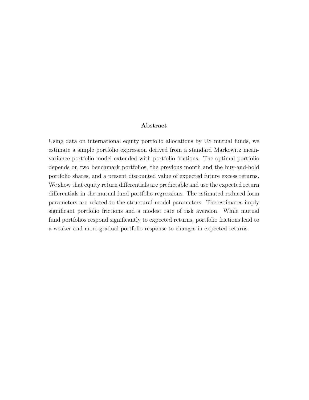#### Abstract

Using data on international equity portfolio allocations by US mutual funds, we estimate a simple portfolio expression derived from a standard Markowitz meanvariance portfolio model extended with portfolio frictions. The optimal portfolio depends on two benchmark portfolios, the previous month and the buy-and-hold portfolio shares, and a present discounted value of expected future excess returns. We show that equity return differentials are predictable and use the expected return differentials in the mutual fund portfolio regressions. The estimated reduced form parameters are related to the structural model parameters. The estimates imply significant portfolio frictions and a modest rate of risk aversion. While mutual fund portfolios respond significantly to expected returns, portfolio frictions lead to a weaker and more gradual portfolio response to changes in expected returns.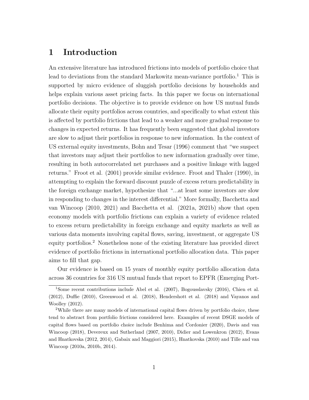## 1 Introduction

An extensive literature has introduced frictions into models of portfolio choice that lead to deviations from the standard Markowitz mean-variance portfolio.<sup>1</sup> This is supported by micro evidence of sluggish portfolio decisions by households and helps explain various asset pricing facts. In this paper we focus on international portfolio decisions. The objective is to provide evidence on how US mutual funds allocate their equity portfolios across countries, and specifically to what extent this is affected by portfolio frictions that lead to a weaker and more gradual response to changes in expected returns. It has frequently been suggested that global investors are slow to adjust their portfolios in response to new information. In the context of US external equity investments, Bohn and Tesar (1996) comment that "we suspect that investors may adjust their portfolios to new information gradually over time, resulting in both autocorrelated net purchases and a positive linkage with lagged returns." Froot et al. (2001) provide similar evidence. Froot and Thaler (1990), in attempting to explain the forward discount puzzle of excess return predictability in the foreign exchange market, hypothesize that "...at least some investors are slow in responding to changes in the interest differential." More formally, Bacchetta and van Wincoop (2010, 2021) and Bacchetta et al. (2021a, 2021b) show that open economy models with portfolio frictions can explain a variety of evidence related to excess return predictability in foreign exchange and equity markets as well as various data moments involving capital flows, saving, investment, or aggregate US equity portfolios.<sup>2</sup> Nonetheless none of the existing literature has provided direct evidence of portfolio frictions in international portfolio allocation data. This paper aims to fill that gap.

Our evidence is based on 15 years of monthly equity portfolio allocation data across 36 countries for 316 US mutual funds that report to EPFR (Emerging Port-

<sup>1</sup>Some recent contributions include Abel et al. (2007), Bogousslavsky (2016), Chien et al. (2012), Duffie (2010), Greenwood et al. (2018), Hendershott et al. (2018) and Vayanos and Woolley (2012).

<sup>2</sup>While there are many models of international capital flows driven by portfolio choice, these tend to abstract from portfolio frictions considered here. Examples of recent DSGE models of capital flows based on portfolio choice include Benhima and Cordonier (2020), Davis and van Wincoop (2018), Devereux and Sutherland (2007, 2010), Didier and Lowenkron (2012), Evans and Hnatkovska (2012, 2014), Gabaix and Maggiori (2015), Hnatkovska (2010) and Tille and van Wincoop (2010a, 2010b, 2014).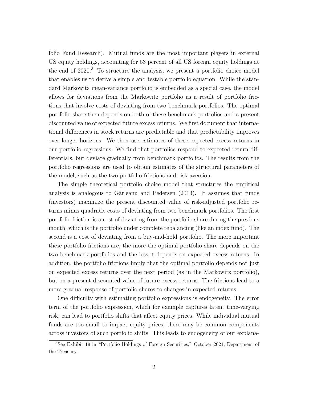folio Fund Research). Mutual funds are the most important players in external US equity holdings, accounting for 53 percent of all US foreign equity holdings at the end of  $2020$ .<sup>3</sup> To structure the analysis, we present a portfolio choice model that enables us to derive a simple and testable portfolio equation. While the standard Markowitz mean-variance portfolio is embedded as a special case, the model allows for deviations from the Markowitz portfolio as a result of portfolio frictions that involve costs of deviating from two benchmark portfolios. The optimal portfolio share then depends on both of these benchmark portfolios and a present discounted value of expected future excess returns. We first document that international differences in stock returns are predictable and that predictability improves over longer horizons. We then use estimates of these expected excess returns in our portfolio regressions. We find that portfolios respond to expected return differentials, but deviate gradually from benchmark portfolios. The results from the portfolio regressions are used to obtain estimates of the structural parameters of the model, such as the two portfolio frictions and risk aversion.

The simple theoretical portfolio choice model that structures the empirical analysis is analogous to Gârleanu and Pedersen  $(2013)$ . It assumes that funds (investors) maximize the present discounted value of risk-adjusted portfolio returns minus quadratic costs of deviating from two benchmark portfolios. The first portfolio friction is a cost of deviating from the portfolio share during the previous month, which is the portfolio under complete rebalancing (like an index fund). The second is a cost of deviating from a buy-and-hold portfolio. The more important these portfolio frictions are, the more the optimal portfolio share depends on the two benchmark portfolios and the less it depends on expected excess returns. In addition, the portfolio frictions imply that the optimal portfolio depends not just on expected excess returns over the next period (as in the Markowitz portfolio), but on a present discounted value of future excess returns. The frictions lead to a more gradual response of portfolio shares to changes in expected returns.

One difficulty with estimating portfolio expressions is endogeneity. The error term of the portfolio expression, which for example captures latent time-varying risk, can lead to portfolio shifts that affect equity prices. While individual mutual funds are too small to impact equity prices, there may be common components across investors of such portfolio shifts. This leads to endogeneity of our explana-

<sup>3</sup>See Exhibit 19 in "Portfolio Holdings of Foreign Securities," October 2021, Department of the Treasury.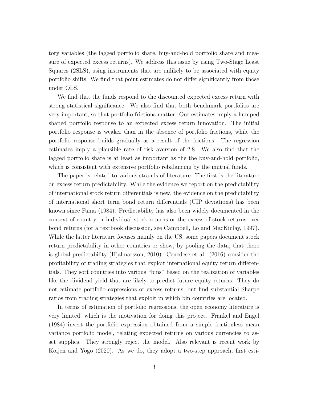tory variables (the lagged portfolio share, buy-and-hold portfolio share and measure of expected excess returns). We address this issue by using Two-Stage Least Squares (2SLS), using instruments that are unlikely to be associated with equity portfolio shifts. We find that point estimates do not differ significantly from those under OLS.

We find that the funds respond to the discounted expected excess return with strong statistical significance. We also find that both benchmark portfolios are very important, so that portfolio frictions matter. Our estimates imply a humped shaped portfolio response to an expected excess return innovation. The initial portfolio response is weaker than in the absence of portfolio frictions, while the portfolio response builds gradually as a result of the frictions. The regression estimates imply a plausible rate of risk aversion of 2.8. We also find that the lagged portfolio share is at least as important as the the buy-and-hold portfolio, which is consistent with extensive portfolio rebalancing by the mutual funds.

The paper is related to various strands of literature. The first is the literature on excess return predictability. While the evidence we report on the predictability of international stock return differentials is new, the evidence on the predictability of international short term bond return differentials (UIP deviations) has been known since Fama (1984). Predictability has also been widely documented in the context of country or individual stock returns or the excess of stock returns over bond returns (for a textbook discussion, see Campbell, Lo and MacKinlay, 1997). While the latter literature focuses mainly on the US, some papers document stock return predictability in other countries or show, by pooling the data, that there is global predictability (Hjalmarsson, 2010). Cenedese et al. (2016) consider the profitability of trading strategies that exploit international equity return differentials. They sort countries into various "bins" based on the realization of variables like the dividend yield that are likely to predict future equity returns. They do not estimate portfolio expressions or excess returns, but find substantial Sharpe ratios from trading strategies that exploit in which bin countries are located.

In terms of estimation of portfolio regressions, the open economy literature is very limited, which is the motivation for doing this project. Frankel and Engel (1984) invert the portfolio expression obtained from a simple frictionless mean variance portfolio model, relating expected returns on various currencies to asset supplies. They strongly reject the model. Also relevant is recent work by Koijen and Yogo (2020). As we do, they adopt a two-step approach, first esti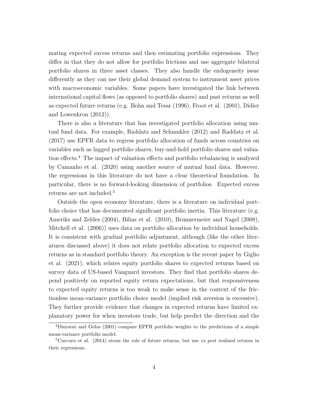mating expected excess returns and then estimating portfolio expressions. They differ in that they do not allow for portfolio frictions and use aggregate bilateral portfolio shares in three asset classes. They also handle the endogeneity issue differently as they can use their global demand system to instrument asset prices with macroeconomic variables. Some papers have investigated the link between international capital flows (as opposed to portfolio shares) and past returns as well as expected future returns (e.g. Bohn and Tesar (1996), Froot et al. (2001), Didier and Lowenkron (2012)).

There is also a literature that has investigated portfolio allocation using mutual fund data. For example, Raddatz and Schmukler (2012) and Raddatz et al. (2017) use EPFR data to regress portfolio allocation of funds across countries on variables such as lagged portfolio shares, buy-and-hold portfolio shares and valuation effects.<sup>4</sup> The impact of valuation effects and portfolio rebalancing is analyzed by Camanho et al. (2020) using another source of mutual fund data. However, the regressions in this literature do not have a clear theoretical foundation. In particular, there is no forward-looking dimension of portfolios. Expected excess returns are not included.<sup>5</sup>

Outside the open economy literature, there is a literature on individual portfolio choice that has documented significant portfolio inertia. This literature (e.g. Ameriks and Zeldes (2004), Bilias et al. (2010), Brunnermeier and Nagel (2008), Mitchell et al. (2006)) uses data on portfolio allocation by individual households. It is consistent with gradual portfolio adjustment, although (like the other literatures discussed above) it does not relate portfolio allocation to expected excess returns as in standard portfolio theory. An exception is the recent paper by Giglio et al. (2021), which relates equity portfolio shares to expected returns based on survey data of US-based Vanguard investors. They find that portfolio shares depend positively on reported equity return expectations, but that responsiveness to expected equity returns is too weak to make sense in the context of the frictionless mean-variance portfolio choice model (implied risk aversion is excessive). They further provide evidence that changes in expected returns have limited explanatory power for when investors trade, but help predict the direction and the

<sup>4</sup>Disyatat and Gelos (2001) compare EPFR portfolio weights to the predictions of a simple mean-variance portfolio model.

<sup>&</sup>lt;sup>5</sup>Curcuru et al. (2014) stress the role of future returns, but use ex post realized returns in their regressions.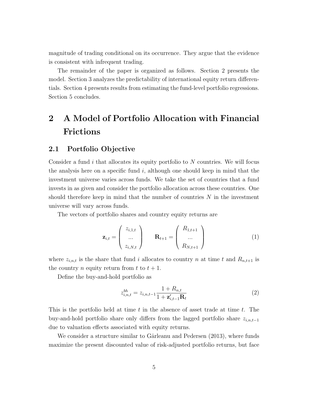magnitude of trading conditional on its occurrence. They argue that the evidence is consistent with infrequent trading.

The remainder of the paper is organized as follows. Section 2 presents the model. Section 3 analyzes the predictability of international equity return differentials. Section 4 presents results from estimating the fund-level portfolio regressions. Section 5 concludes.

## 2 A Model of Portfolio Allocation with Financial Frictions

#### 2.1 Portfolio Objective

Consider a fund  $i$  that allocates its equity portfolio to  $N$  countries. We will focus the analysis here on a specific fund  $i$ , although one should keep in mind that the investment universe varies across funds. We take the set of countries that a fund invests in as given and consider the portfolio allocation across these countries. One should therefore keep in mind that the number of countries  $N$  in the investment universe will vary across funds.

The vectors of portfolio shares and country equity returns are

$$
\mathbf{z}_{i,t} = \begin{pmatrix} z_{i,1,t} \\ \dots \\ z_{i,N,t} \end{pmatrix} \qquad \mathbf{R}_{t+1} = \begin{pmatrix} R_{1,t+1} \\ \dots \\ R_{N,t+1} \end{pmatrix}
$$
 (1)

where  $z_{i,n,t}$  is the share that fund i allocates to country n at time t and  $R_{n,t+1}$  is the country *n* equity return from *t* to  $t + 1$ .

Define the buy-and-hold portfolio as

$$
z_{i,n,t}^{bh} = z_{i,n,t-1} \frac{1 + R_{n,t}}{1 + \mathbf{z}_{i,t-1}^{\prime} \mathbf{R}_t}
$$
(2)

This is the portfolio held at time  $t$  in the absence of asset trade at time  $t$ . The buy-and-hold portfolio share only differs from the lagged portfolio share  $z_{i,n,t-1}$ due to valuation effects associated with equity returns.

We consider a structure similar to Gârleanu and Pedersen (2013), where funds maximize the present discounted value of risk-adjusted portfolio returns, but face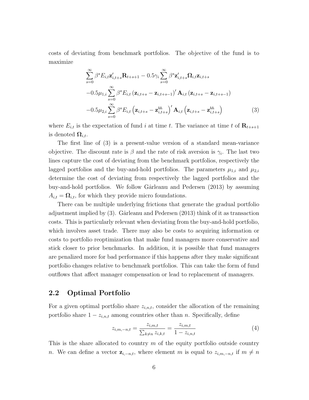costs of deviating from benchmark portfolios. The objective of the fund is to maximize

$$
\sum_{s=0}^{\infty} \beta^{s} E_{i,t} \mathbf{z}'_{i,t+s} \mathbf{R}_{t+s+1} - 0.5\gamma_{i} \sum_{s=0}^{\infty} \beta^{s} \mathbf{z}'_{i,t+s} \mathbf{\Omega}_{i,t} \mathbf{z}_{i,t+s} \n-0.5\mu_{1,i} \sum_{s=0}^{\infty} \beta^{s} E_{i,t} (\mathbf{z}_{i,t+s} - \mathbf{z}_{i,t+s-1})' \mathbf{A}_{i,t} (\mathbf{z}_{i,t+s} - \mathbf{z}_{i,t+s-1}) \n-0.5\mu_{2,i} \sum_{s=0}^{\infty} \beta^{s} E_{i,t} (\mathbf{z}_{i,t+s} - \mathbf{z}_{i,t+s}^{bh})' \mathbf{A}_{i,t} (\mathbf{z}_{i,t+s} - \mathbf{z}_{i,t+s}^{bh})
$$
\n(3)

where  $E_{i,t}$  is the expectation of fund i at time t. The variance at time t of  $\mathbf{R}_{t+s+1}$ is denoted  $\Omega_{i,t}$ .

The first line of (3) is a present-value version of a standard mean-variance objective. The discount rate is  $\beta$  and the rate of risk aversion is  $\gamma_i$ . The last two lines capture the cost of deviating from the benchmark portfolios, respectively the lagged portfolios and the buy-and-hold portfolios. The parameters  $\mu_{1,i}$  and  $\mu_{2,i}$ determine the cost of deviating from respectively the lagged portfolios and the buy-and-hold portfolios. We follow Gârleanu and Pedersen (2013) by assuming  $A_{i,t} = \Omega_{i,t}$ , for which they provide micro foundations.

There can be multiple underlying frictions that generate the gradual portfolio adjustment implied by  $(3)$ . Gârleanu and Pedersen  $(2013)$  think of it as transaction costs. This is particularly relevant when deviating from the buy-and-hold portfolio, which involves asset trade. There may also be costs to acquiring information or costs to portfolio reoptimization that make fund managers more conservative and stick closer to prior benchmarks. In addition, it is possible that fund managers are penalized more for bad performance if this happens after they make significant portfolio changes relative to benchmark portfolios. This can take the form of fund outflows that affect manager compensation or lead to replacement of managers.

#### 2.2 Optimal Portfolio

For a given optimal portfolio share  $z_{i,n,t}$ , consider the allocation of the remaining portfolio share  $1 - z_{i,n,t}$  among countries other than n. Specifically, define

$$
z_{i,m,-n,t} = \frac{z_{i,m,t}}{\sum_{k \neq n} z_{i,k,t}} = \frac{z_{i,m,t}}{1 - z_{i,n,t}}
$$
(4)

This is the share allocated to country  $m$  of the equity portfolio outside country n. We can define a vector  $z_{i,-n,t}$ , where element m is equal to  $z_{i,m,-n,t}$  if  $m \neq n$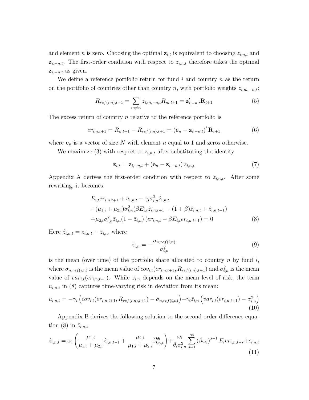and element n is zero. Choosing the optimal  $z_{i,t}$  is equivalent to choosing  $z_{i,n,t}$  and  $z_{i,-n,t}$ . The first-order condition with respect to  $z_{i,n,t}$  therefore takes the optimal  $z_{i,-n,t}$  as given.

We define a reference portfolio return for fund  $i$  and country  $n$  as the return on the portfolio of countries other than country n, with portfolio weights  $z_{i,m,-n,t}$ :

$$
R_{ref(i,n),t+1} = \sum_{m \neq n} z_{i,m,-n,t} R_{m,t+1} = \mathbf{z}'_{i,-n,t} \mathbf{R}_{t+1}
$$
(5)

The excess return of country *n* relative to the reference portfolio is

$$
er_{i,n,t+1} = R_{n,t+1} - R_{ref(i,n),t+1} = (\mathbf{e}_n - \mathbf{z}_{i,-n,t})' \mathbf{R}_{t+1}
$$
(6)

where  $\mathbf{e}_n$  is a vector of size N with element n equal to 1 and zeros otherwise.

We maximize (3) with respect to  $z_{i,n,t}$  after substituting the identity

$$
\mathbf{z}_{i,t} = \mathbf{z}_{i,-n,t} + (\mathbf{e}_n - \mathbf{z}_{i,-n,t}) z_{i,n,t}
$$
\n<sup>(7)</sup>

Appendix A derives the first-order condition with respect to  $z_{i,n,t}$ . After some rewriting, it becomes:

$$
E_{i,t}er_{i,n,t+1} + u_{i,n,t} - \gamma_i \sigma_{i,n}^2 \hat{z}_{i,n,t}
$$
  
+ 
$$
(\mu_{1,i} + \mu_{2,i})\sigma_{i,n}^2(\beta E_{i,t}\hat{z}_{i,n,t+1} - (1+\beta)\hat{z}_{i,n,t} + \hat{z}_{i,n,t-1})
$$
  
+ 
$$
\mu_{2,i}\sigma_{i,n}^2 \bar{z}_{i,n}(1-\bar{z}_{i,n}) (er_{i,n,t} - \beta E_{i,t}er_{i,n,t+1}) = 0
$$
 (8)

Here  $\hat{z}_{i,n,t} = z_{i,n,t} - \bar{z}_{i,n}$ , where

$$
\bar{z}_{i,n} = -\frac{\sigma_{n,ref(i,n)}}{\sigma_{i,n}^2} \tag{9}
$$

is the mean (over time) of the portfolio share allocated to country  $n$  by fund  $i$ , where  $\sigma_{n,ref(i,n)}$  is the mean value of  $cov_{i,t}(er_{i,n,t+1}, R_{ref(i,n),t+1})$  and  $\sigma_{i,n}^2$  is the mean value of  $var_{i,t}(er_{i,n,t+1})$ . While  $\bar{z}_{i,n}$  depends on the mean level of risk, the term  $u_{i,n,t}$  in (8) captures time-varying risk in deviation from its mean:

$$
u_{i,n,t} = -\gamma_i \left( cov_{i,t} (er_{i,n,t+1}, R_{ref(i,n),t+1}) - \sigma_{n,ref(i,n)} \right) - \gamma_i \bar{z}_{i,n} \left( var_{i,t} (er_{i,n,t+1}) - \sigma_{i,n}^2 \right)
$$
\n(10)

Appendix B derives the following solution to the second-order difference equation (8) in  $\hat{z}_{i,n,t}$ :

$$
\hat{z}_{i,n,t} = \omega_i \left( \frac{\mu_{1,i}}{\mu_{1,i} + \mu_{2,i}} \hat{z}_{i,n,t-1} + \frac{\mu_{2,i}}{\mu_{1,i} + \mu_{2,i}} \hat{z}_{i,n,t}^{bh} \right) + \frac{\omega_i}{\theta_i \sigma_{i,n}^2} \sum_{s=1}^{\infty} (\beta \omega_i)^{s-1} E_t e r_{i,n,t+s} + \epsilon_{i,n,t}
$$
\n(11)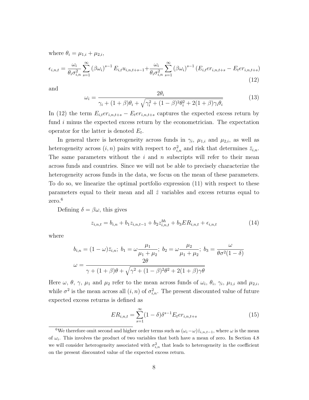where  $\theta_i = \mu_{1,i} + \mu_{2,i}$ ,

$$
\epsilon_{i,n,t} = \frac{\omega_i}{\theta_i \sigma_{i,n}^2} \sum_{s=1}^{\infty} (\beta \omega_i)^{s-1} E_{i,t} u_{i,n,t+s-1} + \frac{\omega_i}{\theta_i \sigma_{i,n}^2} \sum_{s=1}^{\infty} (\beta \omega_i)^{s-1} (E_{i,t} e_{i,n,t+s} - E_t e_{i,n,t+s})
$$
\n(12)

and

$$
\omega_i = \frac{2\theta_i}{\gamma_i + (1+\beta)\theta_i + \sqrt{\gamma_i^2 + (1-\beta)^2 \theta_i^2 + 2(1+\beta)\gamma_i \theta_i}}
$$
(13)

In (12) the term  $E_{i,t}er_{i,n,t+s}-E_{t}er_{i,n,t+s}$  captures the expected excess return by fund i minus the expected excess return by the econometrician. The expectation operator for the latter is denoted  $E_t$ .

In general there is heterogeneity across funds in  $\gamma_i$ ,  $\mu_{1,i}$  and  $\mu_{2,i}$ , as well as heterogeneity across  $(i, n)$  pairs with respect to  $\sigma_{i,n}^2$  and risk that determines  $\bar{z}_{i,n}$ . The same parameters without the  $i$  and  $n$  subscripts will refer to their mean across funds and countries. Since we will not be able to precisely characterize the heterogeneity across funds in the data, we focus on the mean of these parameters. To do so, we linearize the optimal portfolio expression (11) with respect to these parameters equal to their mean and all  $\hat{z}$  variables and excess returns equal to zero.<sup>6</sup>

Defining  $\delta = \beta \omega$ , this gives

$$
z_{i,n,t} = b_{i,n} + b_1 z_{i,n,t-1} + b_2 z_{i,n,t}^{bh} + b_3 ER_{i,n,t} + \epsilon_{i,n,t}
$$
\n(14)

where

$$
b_{i,n} = (1 - \omega)\bar{z}_{i,n}; \ b_1 = \omega \frac{\mu_1}{\mu_1 + \mu_2}; \ b_2 = \omega \frac{\mu_2}{\mu_1 + \mu_2}; \ b_3 = \frac{\omega}{\theta \sigma^2 (1 - \delta)}
$$

$$
\omega = \frac{2\theta}{\gamma + (1 + \beta)\theta + \sqrt{\gamma^2 + (1 - \beta)^2 \theta^2 + 2(1 + \beta)\gamma\theta}}
$$

Here  $\omega, \theta, \gamma, \mu_1$  and  $\mu_2$  refer to the mean across funds of  $\omega_i, \theta_i, \gamma_i, \mu_{1,i}$  and  $\mu_{2,i}$ , while  $\sigma^2$  is the mean across all  $(i, n)$  of  $\sigma_{i,n}^2$ . The present discounted value of future expected excess returns is defined as

$$
ER_{i,n,t} = \sum_{s=1}^{\infty} (1 - \delta) \delta^{s-1} E_t er_{i,n,t+s}
$$
 (15)

<sup>&</sup>lt;sup>6</sup>We therefore omit second and higher order terms such as  $(\omega_i - \omega)\hat{z}_{i,n,t-1}$ , where  $\omega$  is the mean of  $\omega_i$ . This involves the product of two variables that both have a mean of zero. In Section 4.8 we will consider heterogeneity associated with  $\sigma_{i,n}^2$  that leads to heterogeneity in the coefficient on the present discounted value of the expected excess return.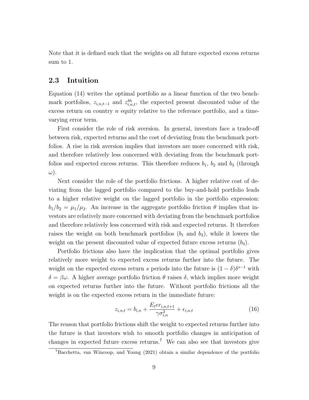Note that it is defined such that the weights on all future expected excess returns sum to 1.

#### 2.3 Intuition

Equation (14) writes the optimal portfolio as a linear function of the two benchmark portfolios,  $z_{i,n,t-1}$  and  $z_{i,n,t}^{bh}$ , the expected present discounted value of the excess return on country  $n$  equity relative to the reference portfolio, and a timevarying error term.

First consider the role of risk aversion. In general, investors face a trade-off between risk, expected returns and the cost of deviating from the benchmark portfolios. A rise in risk aversion implies that investors are more concerned with risk, and therefore relatively less concerned with deviating from the benchmark portfolios and expected excess returns. This therefore reduces  $b_1$ ,  $b_2$  and  $b_3$  (through ω).

Next consider the role of the portfolio frictions. A higher relative cost of deviating from the lagged portfolio compared to the buy-and-hold portfolio leads to a higher relative weight on the lagged portfolio in the portfolio expression:  $b_1/b_2 = \mu_1/\mu_2$ . An increase in the aggregate portfolio friction  $\theta$  implies that investors are relatively more concerned with deviating from the benchmark portfolios and therefore relatively less concerned with risk and expected returns. It therefore raises the weight on both benchmark portfolios  $(b_1 \text{ and } b_2)$ , while it lowers the weight on the present discounted value of expected future excess returns  $(b_3)$ .

Portfolio frictions also have the implication that the optimal portfolio gives relatively more weight to expected excess returns further into the future. The weight on the expected excess return s periods into the future is  $(1 - \delta)\delta^{s-1}$  with  $\delta = \beta \omega$ . A higher average portfolio friction  $\theta$  raises  $\delta$ , which implies more weight on expected returns further into the future. Without portfolio frictions all the weight is on the expected excess return in the immediate future:

$$
z_{i,n,t} = b_{i,n} + \frac{E_t e r_{i,n,t+1}}{\gamma \sigma_{i,n}^2} + \epsilon_{i,n,t}
$$
\n(16)

The reason that portfolio frictions shift the weight to expected returns further into the future is that investors wish to smooth portfolio changes in anticipation of changes in expected future excess returns.<sup>7</sup> We can also see that investors give

<sup>7</sup>Bacchetta, van Wincoop, and Young (2021) obtain a similar dependence of the portfolio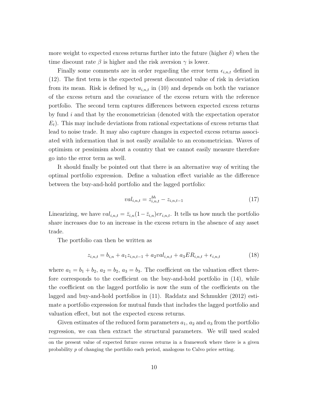more weight to expected excess returns further into the future (higher  $\delta$ ) when the time discount rate  $\beta$  is higher and the risk aversion  $\gamma$  is lower.

Finally some comments are in order regarding the error term  $\epsilon_{i,n,t}$  defined in (12). The first term is the expected present discounted value of risk in deviation from its mean. Risk is defined by  $u_{i,n,t}$  in (10) and depends on both the variance of the excess return and the covariance of the excess return with the reference portfolio. The second term captures differences between expected excess returns by fund i and that by the econometrician (denoted with the expectation operator  $E_t$ ). This may include deviations from rational expectations of excess returns that lead to noise trade. It may also capture changes in expected excess returns associated with information that is not easily available to an econometrician. Waves of optimism or pessimism about a country that we cannot easily measure therefore go into the error term as well.

It should finally be pointed out that there is an alternative way of writing the optimal portfolio expression. Define a valuation effect variable as the difference between the buy-and-hold portfolio and the lagged portfolio:

$$
val_{i,n,t} = z_{i,n,t}^{bh} - z_{i,n,t-1}
$$
\n(17)

Linearizing, we have  $val_{i,n,t} = \bar{z}_{i,n}(1-\bar{z}_{i,n})er_{i,n,t}$ . It tells us how much the portfolio share increases due to an increase in the excess return in the absence of any asset trade.

The portfolio can then be written as

$$
z_{i,n,t} = b_{i,n} + a_1 z_{i,n,t-1} + a_2 val_{i,n,t} + a_3 ER_{i,n,t} + \epsilon_{i,n,t}
$$
\n
$$
(18)
$$

where  $a_1 = b_1 + b_2$ ,  $a_2 = b_2$ ,  $a_3 = b_3$ . The coefficient on the valuation effect therefore corresponds to the coefficient on the buy-and-hold portfolio in (14), while the coefficient on the lagged portfolio is now the sum of the coefficients on the lagged and buy-and-hold portfolios in (11). Raddatz and Schmukler (2012) estimate a portfolio expression for mutual funds that includes the lagged portfolio and valuation effect, but not the expected excess returns.

Given estimates of the reduced form parameters  $a_1$ ,  $a_2$  and  $a_3$  from the portfolio regression, we can then extract the structural parameters. We will used scaled

on the present value of expected future excess returns in a framework where there is a given probability p of changing the portfolio each period, analogous to Calvo price setting.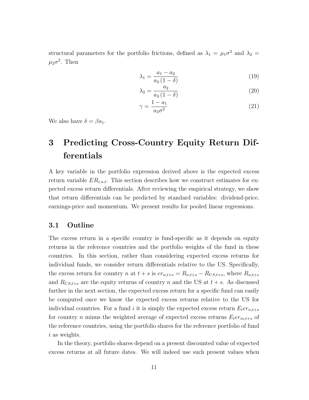structural parameters for the portfolio frictions, defined as  $\lambda_1 = \mu_1 \sigma^2$  and  $\lambda_2 =$  $\mu_2 \sigma^2$ . Then

$$
\lambda_1 = \frac{a_1 - a_2}{a_3 (1 - \delta)}\tag{19}
$$

$$
\lambda_2 = \frac{a_2}{a_3 \left(1 - \delta\right)}\tag{20}
$$

$$
\gamma = \frac{1 - a_1}{a_3 \sigma^2} \tag{21}
$$

We also have  $\delta = \beta a_1$ .

## 3 Predicting Cross-Country Equity Return Differentials

A key variable in the portfolio expression derived above is the expected excess return variable  $ER_{i,n,t}$ . This section describes how we construct estimates for expected excess return differentials. After reviewing the empirical strategy, we show that return differentials can be predicted by standard variables: dividend-price, earnings-price and momentum. We present results for pooled linear regressions.

#### 3.1 Outline

The excess return in a specific country is fund-specific as it depends on equity returns in the reference countries and the portfolio weights of the fund in these countries. In this section, rather than considering expected excess returns for individual funds, we consider return differentials relative to the US. Specifically, the excess return for country n at  $t + s$  is  $er_{n,t+s} = R_{n,t+s} - R_{US,t+s}$ , where  $R_{n,t+s}$ and  $R_{US,t+s}$  are the equity returns of country n and the US at  $t + s$ . As discussed further in the next section, the expected excess return for a specific fund can easily be computed once we know the expected excess returns relative to the US for individual countries. For a fund i it is simply the expected excess return  $E_t$ er<sub>n,t+s</sub> for country n minus the weighted average of expected excess returns  $\mathcal{E}_{t} e r_{m,t+s}$  of the reference countries, using the portfolio shares for the reference portfolio of fund i as weights.

In the theory, portfolio shares depend on a present discounted value of expected excess returns at all future dates. We will indeed use such present values when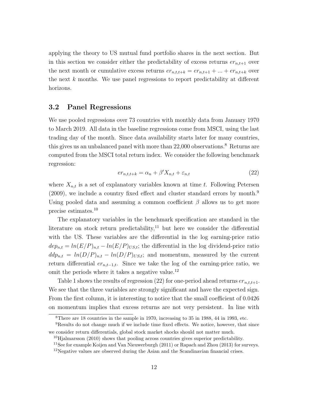applying the theory to US mutual fund portfolio shares in the next section. But in this section we consider either the predictability of excess returns  $er_{n,t+1}$  over the next month or cumulative excess returns  $er_{n,t,t+k} = er_{n,t+1} + ... + er_{n,t+k}$  over the next  $k$  months. We use panel regressions to report predictability at different horizons.

#### 3.2 Panel Regressions

We use pooled regressions over 73 countries with monthly data from January 1970 to March 2019. All data in the baseline regressions come from MSCI, using the last trading day of the month. Since data availability starts later for many countries, this gives us an unbalanced panel with more than  $22,000$  observations.<sup>8</sup> Returns are computed from the MSCI total return index. We consider the following benchmark regression:

$$
er_{n,t,t+k} = \alpha_n + \beta' X_{n,t} + \varepsilon_{n,t} \tag{22}
$$

where  $X_{n,t}$  is a set of explanatory variables known at time t. Following Petersen (2009), we include a country fixed effect and cluster standard errors by month.<sup>9</sup> Using pooled data and assuming a common coefficient  $\beta$  allows us to get more precise estimates.<sup>10</sup>

The explanatory variables in the benchmark specification are standard in the literature on stock return predictability, $11$  but here we consider the differential with the US. These variables are the differential in the log earning-price ratio  $dep_{n,t} = ln(E/P)_{n,t} - ln(E/P)_{US,t}$ ; the differential in the log dividend-price ratio  $ddp_{n,t} = ln(D/P)_{n,t} - ln(D/P)_{US,t};$  and momentum, measured by the current return differential  $er_{n,t-1,t}$ . Since we take the log of the earning-price ratio, we omit the periods where it takes a negative value.<sup>12</sup>

Table 1 shows the results of regression (22) for one-period ahead returns  $er_{n,t,t+1}$ . We see that the three variables are strongly significant and have the expected sign. From the first column, it is interesting to notice that the small coefficient of 0.0426 on momentum implies that excess returns are not very persistent. In line with

<sup>8</sup>There are 18 countries in the sample in 1970, increasing to 35 in 1988, 44 in 1993, etc.

<sup>9</sup>Results do not change much if we include time fixed effects. We notice, however, that since we consider return differentials, global stock market shocks should not matter much.

 $^{10}$ Hjalmarsson (2010) shows that pooling across countries gives superior predictability.

<sup>&</sup>lt;sup>11</sup>See for example Koijen and Van Nieuwerburgh (2011) or Rapach and Zhou (2013) for surveys.

 $12$ Negative values are observed during the Asian and the Scandinavian financial crises.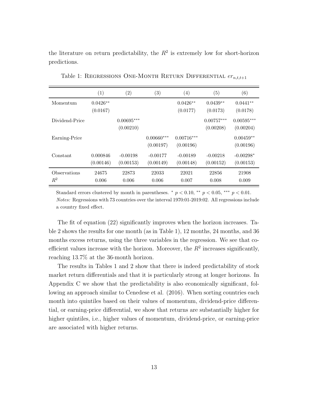the literature on return predictability, the  $R^2$  is extremely low for short-horizon predictions.

|                       | (1)                    | $\left( 2\right)$         | $\left( 3\right)$         | $\left( 4\right)$         | $\left( 5\right)$         | $\left( 6\right)$         |
|-----------------------|------------------------|---------------------------|---------------------------|---------------------------|---------------------------|---------------------------|
| Momentum              | $0.0426**$<br>(0.0167) |                           |                           | $0.0426**$<br>(0.0177)    | $0.0439**$<br>(0.0173)    | $0.0441**$<br>(0.0178)    |
| Dividend-Price        |                        | $0.00695***$<br>(0.00210) |                           |                           | $0.00757***$<br>(0.00208) | $0.00595***$<br>(0.00204) |
| Earning-Price         |                        |                           | $0.00660***$<br>(0.00197) | $0.00716***$<br>(0.00196) |                           | $0.00459**$<br>(0.00196)  |
| Constant              | 0.000846<br>(0.00146)  | $-0.00198$<br>(0.00153)   | $-0.00177$<br>(0.00149)   | $-0.00189$<br>(0.00148)   | $-0.00218$<br>(0.00152)   | $-0.00298*$<br>(0.00153)  |
| Observations<br>$R^2$ | 24675<br>0.006         | 22873<br>0.006            | 22033<br>0.006            | 22021<br>0.007            | 22856<br>0.008            | 21908<br>0.009            |

Table 1: REGRESSIONS ONE-MONTH RETURN DIFFERENTIAL  $er_{n,t,t+1}$ 

Standard errors clustered by month in parentheses.  $\degree p < 0.10$ ,  $\degree\degree p < 0.05$ ,  $\degree\degree\degree p < 0.01$ . Notes: Regressions with 73 countries over the interval 1970:01-2019:02. All regressions include a country fixed effect.

The fit of equation (22) significantly improves when the horizon increases. Table 2 shows the results for one month (as in Table 1), 12 months, 24 months, and 36 months excess returns, using the three variables in the regression. We see that coefficient values increase with the horizon. Moreover, the  $R<sup>2</sup>$  increases significantly, reaching 13.7% at the 36-month horizon.

The results in Tables 1 and 2 show that there is indeed predictability of stock market return differentials and that it is particularly strong at longer horizons. In Appendix C we show that the predictability is also economically significant, following an approach similar to Cenedese et al. (2016). When sorting countries each month into quintiles based on their values of momentum, dividend-price differential, or earning-price differential, we show that returns are substantially higher for higher quintiles, i.e., higher values of momentum, dividend-price, or earning-price are associated with higher returns.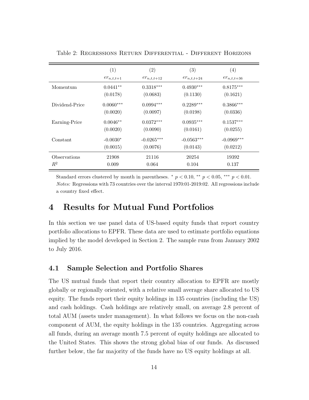|                            | (1)            | $\left( 2\right)$ | (3)             | $\left( 4\right)$ |
|----------------------------|----------------|-------------------|-----------------|-------------------|
|                            | $er_{n,t,t+1}$ | $er_{n,t,t+12}$   | $er_{n,t,t+24}$ | $er_{n,t,t+36}$   |
| Momentum                   | $0.0441**$     | $0.3318***$       | $0.4930***$     | $0.8175***$       |
|                            | (0.0178)       | (0.0683)          | (0.1130)        | (0.1621)          |
| Dividend-Price             | $0.0060***$    | $0.0994***$       | $0.2289***$     | $0.3866***$       |
|                            | (0.0020)       | (0.0097)          | (0.0198)        | (0.0336)          |
| Earning-Price              | $0.0046**$     | $0.0372***$       | $0.0935***$     | $0.1537***$       |
|                            | (0.0020)       | (0.0090)          | (0.0161)        | (0.0255)          |
| Constant                   | $-0.0030*$     | $-0.0265***$      | $-0.0563***$    | $-0.0969***$      |
|                            | (0.0015)       | (0.0076)          | (0.0143)        | (0.0212)          |
| <i><b>Observations</b></i> | 21908          | 21116             | 20254           | 19392             |
| $R^2$                      | 0.009          | 0.064             | 0.104           | 0.137             |

Table 2: Regressions Return Differential - Different Horizons

Standard errors clustered by month in parentheses.  $\degree p < 0.10$ ,  $\degree\degree p < 0.05$ ,  $\degree\degree\degree p < 0.01$ . Notes: Regressions with 73 countries over the interval 1970:01-2019:02. All regressions include a country fixed effect.

## 4 Results for Mutual Fund Portfolios

In this section we use panel data of US-based equity funds that report country portfolio allocations to EPFR. These data are used to estimate portfolio equations implied by the model developed in Section 2. The sample runs from January 2002 to July 2016.

#### 4.1 Sample Selection and Portfolio Shares

The US mutual funds that report their country allocation to EPFR are mostly globally or regionally oriented, with a relative small average share allocated to US equity. The funds report their equity holdings in 135 countries (including the US) and cash holdings. Cash holdings are relatively small, on average 2.8 percent of total AUM (assets under management). In what follows we focus on the non-cash component of AUM, the equity holdings in the 135 countries. Aggregating across all funds, during an average month 7.5 percent of equity holdings are allocated to the United States. This shows the strong global bias of our funds. As discussed further below, the far majority of the funds have no US equity holdings at all.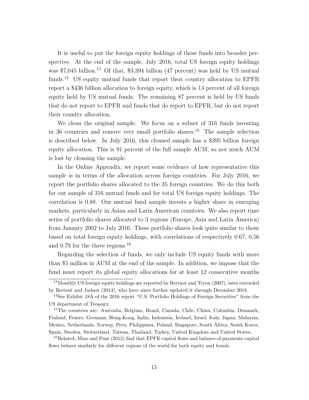It is useful to put the foreign equity holdings of these funds into broader perspective. At the end of the sample, July 2016, total US foreign equity holdings was  $$7,045$  billion.<sup>13</sup> Of that, \$3,394 billion (47 percent) was held by US mutual funds.<sup>14</sup> US equity mutual funds that report their country allocation to EPFR report a \$436 billion allocation to foreign equity, which is 13 percent of all foreign equity held by US mutual funds. The remaining 87 percent is held by US funds that do not report to EPFR and funds that do report to EPFR, but do not report their country allocation.

We clean the original sample. We focus on a subset of 316 funds investing in 36 countries and remove very small portfolio shares.<sup>15</sup> The sample selection is described below. In July 2016, this cleaned sample has a \$395 billion foreign equity allocation. This is 91 percent of the full sample AUM, so not much AUM is lost by cleaning the sample.

In the Online Appendix, we report some evidence of how representative this sample is in terms of the allocation across foreign countries. For July 2016, we report the portfolio shares allocated to the 35 foreign countries. We do this both for our sample of 316 mutual funds and for total US foreign equity holdings. The correlation is 0.88. Our mutual fund sample invests a higher share in emerging markets, particularly in Asian and Latin American countries. We also report time series of portfolio shares allocated to 3 regions (Europe, Asia and Latin America) from January 2002 to July 2016. These portfolio shares look quite similar to those based on total foreign equity holdings, with correlations of respectively 0.67, 0.56 and 0.79 for the three regions.<sup>16</sup>

Regarding the selection of funds, we only include US equity funds with more than \$5 million in AUM at the end of the sample. In addition, we impose that the fund must report its global equity allocations for at least 12 consecutive months

<sup>&</sup>lt;sup>13</sup>Monthly US foreign equity holdings are reported by Bertaut and Tryon (2007), later extended by Bertaut and Judson (2014), who have since further updated it through December 2018.

<sup>&</sup>lt;sup>14</sup>See Exhibit 18A of the 2016 report "U.S. Portfolio Holdings of Foreign Securities" from the US department of Treasury.

<sup>15</sup>The countries are: Australia, Belgium, Brazil, Canada, Chile, China, Colombia, Denmark, Finland, France, Germany, Hong-Kong, India, Indonesia, Ireland, Israel, Italy, Japan, Malaysia, Mexico, Netherlands, Norway, Peru, Philippines, Poland, Singapore, South Africa, South Korea, Spain, Sweden, Switzerland, Taiwan, Thailand, Turkey, United Kingdom and United States.

<sup>&</sup>lt;sup>16</sup>Related, Miao and Pant (2012) find that EPFR capital flows and balance of payments capital flows behave similarly for different regions of the world for both equity and bonds.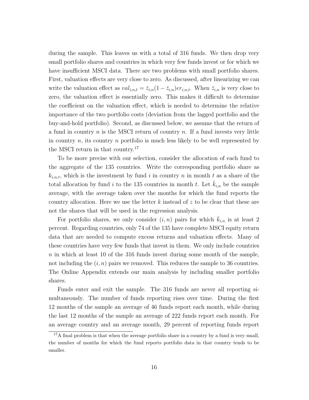during the sample. This leaves us with a total of 316 funds. We then drop very small portfolio shares and countries in which very few funds invest or for which we have insufficient MSCI data. There are two problems with small portfolio shares. First, valuation effects are very close to zero. As discussed, after linearizing we can write the valuation effect as  $val_{i,n,t} = \bar{z}_{i,n}(1-\bar{z}_{i,n})er_{i,n,t}$ . When  $\bar{z}_{i,n}$  is very close to zero, the valuation effect is essentially zero. This makes it difficult to determine the coefficient on the valuation effect, which is needed to determine the relative importance of the two portfolio costs (deviation from the lagged portfolio and the buy-and-hold portfolio). Second, as discussed below, we assume that the return of a fund in country  $n$  is the MSCI return of country  $n$ . If a fund invests very little in country n, its country n portfolio is much less likely to be well represented by the MSCI return in that country.<sup>17</sup>

To be more precise with our selection, consider the allocation of each fund to the aggregate of the 135 countries. Write the corresponding portfolio share as  $k_{i,n,t}$ , which is the investment by fund i in country n in month t as a share of the total allocation by fund i to the 135 countries in month t. Let  $k_{i,n}$  be the sample average, with the average taken over the months for which the fund reports the country allocation. Here we use the letter k instead of  $z$  to be clear that these are not the shares that will be used in the regression analysis.

For portfolio shares, we only consider  $(i, n)$  pairs for which  $k_{i,n}$  is at least 2 percent. Regarding countries, only 74 of the 135 have complete MSCI equity return data that are needed to compute excess returns and valuation effects. Many of these countries have very few funds that invest in them. We only include countries  $n$  in which at least 10 of the 316 funds invest during some month of the sample, not including the  $(i, n)$  pairs we removed. This reduces the sample to 36 countries. The Online Appendix extends our main analysis by including smaller portfolio shares.

Funds enter and exit the sample. The 316 funds are never all reporting simultaneously. The number of funds reporting rises over time. During the first 12 months of the sample an average of 46 funds report each month, while during the last 12 months of the sample an average of 222 funds report each month. For an average country and an average month, 29 percent of reporting funds report

 $17A$  final problem is that when the average portfolio share in a country by a fund is very small, the number of months for which the fund reports portfolio data in that country tends to be smaller.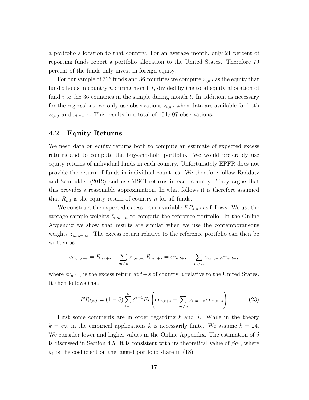a portfolio allocation to that country. For an average month, only 21 percent of reporting funds report a portfolio allocation to the United States. Therefore 79 percent of the funds only invest in foreign equity.

For our sample of 316 funds and 36 countries we compute  $z_{i,n,t}$  as the equity that fund i holds in country n during month  $t$ , divided by the total equity allocation of fund i to the 36 countries in the sample during month  $t$ . In addition, as necessary for the regressions, we only use observations  $z_{i,n,t}$  when data are available for both  $z_{i,n,t}$  and  $z_{i,n,t-1}$ . This results in a total of 154,407 observations.

#### 4.2 Equity Returns

We need data on equity returns both to compute an estimate of expected excess returns and to compute the buy-and-hold portfolio. We would preferably use equity returns of individual funds in each country. Unfortunately EPFR does not provide the return of funds in individual countries. We therefore follow Raddatz and Schmukler (2012) and use MSCI returns in each country. They argue that this provides a reasonable approximation. In what follows it is therefore assumed that  $R_{n,t}$  is the equity return of country n for all funds.

We construct the expected excess return variable  $ER_{i,n,t}$  as follows. We use the average sample weights  $\bar{z}_{i,m,-n}$  to compute the reference portfolio. In the Online Appendix we show that results are similar when we use the contemporaneous weights  $z_{i,m,-n,t}$ . The excess return relative to the reference portfolio can then be written as

$$
er_{i,n,t+s} = R_{n,t+s} - \sum_{m \neq n} \bar{z}_{i,m,-n} R_{m,t+s} = er_{n,t+s} - \sum_{m \neq n} \bar{z}_{i,m,-n} er_{m,t+s}
$$

where  $er_{n,t+s}$  is the excess return at  $t+s$  of country  $n$  relative to the United States. It then follows that

$$
ER_{i,n,t} = (1 - \delta) \sum_{s=1}^{k} \delta^{s-1} E_t \left( er_{n,t+s} - \sum_{m \neq n} \bar{z}_{i,m,-n} er_{m,t+s} \right)
$$
(23)

First some comments are in order regarding k and  $\delta$ . While in the theory  $k = \infty$ , in the empirical applications k is necessarily finite. We assume  $k = 24$ . We consider lower and higher values in the Online Appendix. The estimation of  $\delta$ is discussed in Section 4.5. It is consistent with its theoretical value of  $\beta a_1$ , where  $a_1$  is the coefficient on the lagged portfolio share in (18).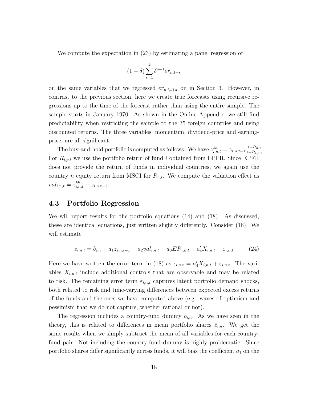We compute the expectation in (23) by estimating a panel regression of

$$
(1 - \delta) \sum_{s=1}^{k} \delta^{s-1} e r_{n,t+s}
$$

on the same variables that we regressed  $er_{n,t,t+k}$  on in Section 3. However, in contrast to the previous section, here we create true forecasts using recursive regressions up to the time of the forecast rather than using the entire sample. The sample starts in January 1970. As shown in the Online Appendix, we still find predictability when restricting the sample to the 35 foreign countries and using discounted returns. The three variables, momentum, dividend-price and earningprice, are all significant.

The buy-and-hold portfolio is computed as follows. We have  $z_{i,n,t}^{bh} = z_{i,n,t-1} \frac{1+R_{n,t}}{1+R_{i,n}}$  $1+R_{i,p,t}$ For  $R_{i,p,t}$  we use the portfolio return of fund i obtained from EPFR. Since EPFR does not provide the return of funds in individual countries, we again use the country *n* equity return from MSCI for  $R_{n,t}$ . We compute the valuation effect as  $val_{i,n,t} = z_{i,n,t}^{bh} - z_{i,n,t-1}.$ 

.

#### 4.3 Portfolio Regression

We will report results for the portfolio equations (14) and (18). As discussed, these are identical equations, just written slightly differently. Consider (18). We will estimate

$$
z_{i,n,t} = b_{i,n} + a_1 z_{i,n,t-1} + a_2 val_{i,n,t} + a_3 ER_{i,n,t} + a'_4 X_{i,n,t} + \varepsilon_{i,n,t}
$$
 (24)

Here we have written the error term in (18) as  $\epsilon_{i,n,t} = a'_4 X_{i,n,t} + \epsilon_{i,n,t}$ . The variables  $X_{i,n,t}$  include additional controls that are observable and may be related to risk. The remaining error term  $\varepsilon_{i,n,t}$  captures latent portfolio demand shocks, both related to risk and time-varying differences between expected excess returns of the funds and the ones we have computed above (e.g. waves of optimism and pessimism that we do not capture, whether rational or not).

The regression includes a country-fund dummy  $b_{i,n}$ . As we have seen in the theory, this is related to differences in mean portfolio shares  $\bar{z}_{i,n}$ . We get the same results when we simply subtract the mean of all variables for each countryfund pair. Not including the country-fund dummy is highly problematic. Since portfolio shares differ significantly across funds, it will bias the coefficient  $a_1$  on the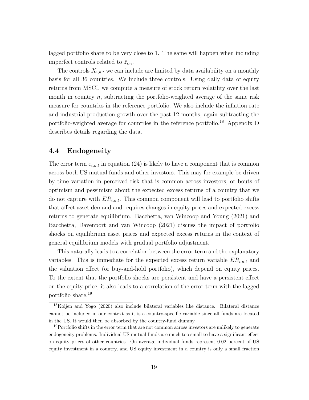lagged portfolio share to be very close to 1. The same will happen when including imperfect controls related to  $\bar{z}_{i,n}$ .

The controls  $X_{i,n,t}$  we can include are limited by data availability on a monthly basis for all 36 countries. We include three controls. Using daily data of equity returns from MSCI, we compute a measure of stock return volatility over the last month in country  $n$ , subtracting the portfolio-weighted average of the same risk measure for countries in the reference portfolio. We also include the inflation rate and industrial production growth over the past 12 months, again subtracting the portfolio-weighted average for countries in the reference portfolio.<sup>18</sup> Appendix D describes details regarding the data.

#### 4.4 Endogeneity

The error term  $\varepsilon_{i,n,t}$  in equation (24) is likely to have a component that is common across both US mutual funds and other investors. This may for example be driven by time variation in perceived risk that is common across investors, or bouts of optimism and pessimism about the expected excess returns of a country that we do not capture with  $ER_{i,n,t}$ . This common component will lead to portfolio shifts that affect asset demand and requires changes in equity prices and expected excess returns to generate equilibrium. Bacchetta, van Wincoop and Young (2021) and Bacchetta, Davenport and van Wincoop (2021) discuss the impact of portfolio shocks on equilibrium asset prices and expected excess returns in the context of general equilibrium models with gradual portfolio adjustment.

This naturally leads to a correlation between the error term and the explanatory variables. This is immediate for the expected excess return variable  $ER_{i,n,t}$  and the valuation effect (or buy-and-hold portfolio), which depend on equity prices. To the extent that the portfolio shocks are persistent and have a persistent effect on the equity price, it also leads to a correlation of the error term with the lagged portfolio share.<sup>19</sup>

<sup>18</sup>Koijen and Yogo (2020) also include bilateral variables like distance. Bilateral distance cannot be included in our context as it is a country-specific variable since all funds are located in the US. It would then be absorbed by the country-fund dummy.

<sup>&</sup>lt;sup>19</sup>Portfolio shifts in the error term that are not common across investors are unlikely to generate endogeneity problems. Individual US mutual funds are much too small to have a significant effect on equity prices of other countries. On average individual funds represent 0.02 percent of US equity investment in a country, and US equity investment in a country is only a small fraction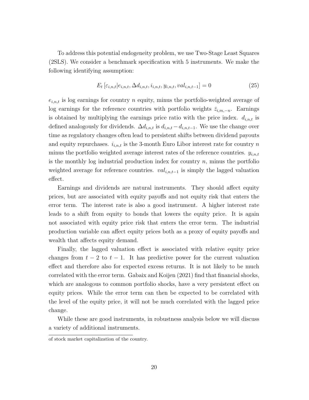To address this potential endogeneity problem, we use Two-Stage Least Squares (2SLS). We consider a benchmark specification with 5 instruments. We make the following identifying assumption:

$$
E_t\left[\varepsilon_{i,n,t}|e_{i,n,t}, \Delta d_{i,n,t}, i_{i,n,t}, y_{i,n,t}, val_{i,n,t-1}\right] = 0\tag{25}
$$

 $e_{i,n,t}$  is log earnings for country n equity, minus the portfolio-weighted average of log earnings for the reference countries with portfolio weights  $\bar{z}_{i,m,-n}$ . Earnings is obtained by multiplying the earnings price ratio with the price index.  $d_{i,n,t}$  is defined analogously for dividends.  $\Delta d_{i,n,t}$  is  $d_{i,n,t} - d_{i,n,t-1}$ . We use the change over time as regulatory changes often lead to persistent shifts between dividend payouts and equity repurchases.  $i_{i,n,t}$  is the 3-month Euro Libor interest rate for country n minus the portfolio weighted average interest rates of the reference countries.  $y_{i,n,t}$ is the monthly log industrial production index for country  $n$ , minus the portfolio weighted average for reference countries.  $val_{i,n,t-1}$  is simply the lagged valuation effect.

Earnings and dividends are natural instruments. They should affect equity prices, but are associated with equity payoffs and not equity risk that enters the error term. The interest rate is also a good instrument. A higher interest rate leads to a shift from equity to bonds that lowers the equity price. It is again not associated with equity price risk that enters the error term. The industrial production variable can affect equity prices both as a proxy of equity payoffs and wealth that affects equity demand.

Finally, the lagged valuation effect is associated with relative equity price changes from  $t - 2$  to  $t - 1$ . It has predictive power for the current valuation effect and therefore also for expected excess returns. It is not likely to be much correlated with the error term. Gabaix and Koijen (2021) find that financial shocks, which are analogous to common portfolio shocks, have a very persistent effect on equity prices. While the error term can then be expected to be correlated with the level of the equity price, it will not be much correlated with the lagged price change.

While these are good instruments, in robustness analysis below we will discuss a variety of additional instruments.

of stock market capitalization of the country.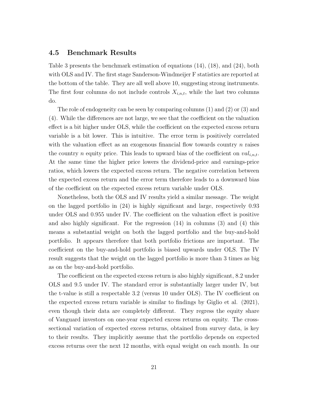#### 4.5 Benchmark Results

Table 3 presents the benchmark estimation of equations (14), (18), and (24), both with OLS and IV. The first stage Sanderson-Windmeijer F statistics are reported at the bottom of the table. They are all well above 10, suggesting strong instruments. The first four columns do not include controls  $X_{i,n,t}$ , while the last two columns do.

The role of endogeneity can be seen by comparing columns (1) and (2) or (3) and (4). While the differences are not large, we see that the coefficient on the valuation effect is a bit higher under OLS, while the coefficient on the expected excess return variable is a bit lower. This is intuitive. The error term is positively correlated with the valuation effect as an exogenous financial flow towards country  $n$  raises the country *n* equity price. This leads to upward bias of the coefficient on  $val_{i,n,t}$ . At the same time the higher price lowers the dividend-price and earnings-price ratios, which lowers the expected excess return. The negative correlation between the expected excess return and the error term therefore leads to a downward bias of the coefficient on the expected excess return variable under OLS.

Nonetheless, both the OLS and IV results yield a similar message. The weight on the lagged portfolio in (24) is highly significant and large, respectively 0.93 under OLS and 0.955 under IV. The coefficient on the valuation effect is positive and also highly significant. For the regression (14) in columns (3) and (4) this means a substantial weight on both the lagged portfolio and the buy-and-hold portfolio. It appears therefore that both portfolio frictions are important. The coefficient on the buy-and-hold portfolio is biased upwards under OLS. The IV result suggests that the weight on the lagged portfolio is more than 3 times as big as on the buy-and-hold portfolio.

The coefficient on the expected excess return is also highly significant, 8.2 under OLS and 9.5 under IV. The standard error is substantially larger under IV, but the t-value is still a respectable 3.2 (versus 10 under OLS). The IV coefficient on the expected excess return variable is similar to findings by Giglio et al. (2021), even though their data are completely different. They regress the equity share of Vanguard investors on one-year expected excess returns on equity. The crosssectional variation of expected excess returns, obtained from survey data, is key to their results. They implicitly assume that the portfolio depends on expected excess returns over the next 12 months, with equal weight on each month. In our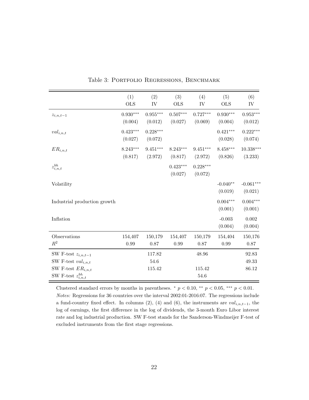|                                | (1)<br><b>OLS</b>     | (2)<br>IV             | (3)<br><b>OLS</b>     | (4)<br>IV             | (5)<br><b>OLS</b>     | (6)<br>IV              |
|--------------------------------|-----------------------|-----------------------|-----------------------|-----------------------|-----------------------|------------------------|
| $z_{i,n,t-1}$                  | $0.930***$<br>(0.004) | $0.955***$<br>(0.012) | $0.507***$<br>(0.027) | $0.727***$<br>(0.069) | $0.930***$<br>(0.004) | $0.953***$<br>(0.012)  |
| $val_{i,n,t}$                  | $0.423***$<br>(0.027) | $0.228***$<br>(0.072) |                       |                       | $0.421***$<br>(0.028) | $0.222***$<br>(0.074)  |
| ${\cal ER}_{i,n,t}$            | $8.243***$<br>(0.817) | $9.451***$<br>(2.972) | $8.243***$<br>(0.817) | $9.451***$<br>(2.972) | $8.458***$<br>(0.826) | $10.338***$<br>(3.233) |
| $z_{i,n,t}^{bh}$               |                       |                       | $0.423***$<br>(0.027) | $0.228***$<br>(0.072) |                       |                        |
| Volatility                     |                       |                       |                       |                       | $-0.040**$<br>(0.019) | $-0.061***$<br>(0.021) |
| Industrial production growth   |                       |                       |                       |                       | $0.004***$<br>(0.001) | $0.004***$<br>(0.001)  |
| Inflation                      |                       |                       |                       |                       | $-0.003$<br>(0.004)   | 0.002<br>(0.004)       |
| Observations<br>$\mathbb{R}^2$ | 154,407<br>0.99       | 150,179<br>0.87       | 154,407<br>0.99       | 150,179<br>0.87       | 154,404<br>0.99       | 150,176<br>0.87        |
| SW F-test $z_{i,n,t-1}$        |                       | 117.82                |                       | 48.96                 |                       | 92.83                  |
| SW F-test $val_{i,n,t}$        |                       | 54.6                  |                       |                       |                       | 49.33                  |
| SW F-test $ER_{i,n,t}$         |                       | 115.42                |                       | 115.42                |                       | 86.12                  |
| SW F-test $z_{i,n,t}^{bh}$     |                       |                       |                       | 54.6                  |                       |                        |

|  | Table 3: PORTFOLIO REGRESSIONS, BENCHMARK |  |
|--|-------------------------------------------|--|
|  |                                           |  |

Clustered standard errors by months in parentheses.  $*$   $p < 0.10$ ,  $**$   $p < 0.05$ ,  $**$   $p < 0.01$ . Notes: Regressions for 36 countries over the interval 2002:01-2016:07. The regressions include a fund-country fixed effect. In columns (2), (4) and (6), the instruments are  $val_{i,n,t-1}$ , the log of earnings, the first difference in the log of dividends, the 3-month Euro Libor interest rate and log industrial production. SW F-test stands for the Sanderson-Windmeijer F-test of excluded instruments from the first stage regressions.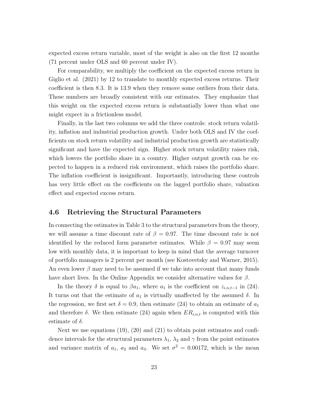expected excess return variable, most of the weight is also on the first 12 months (71 percent under OLS and 60 percent under IV).

For comparability, we multiply the coefficient on the expected excess return in Giglio et al. (2021) by 12 to translate to monthly expected excess returns. Their coefficient is then 8.3. It is 13.9 when they remove some outliers from their data. These numbers are broadly consistent with our estimates. They emphasize that this weight on the expected excess return is substantially lower than what one might expect in a frictionless model.

Finally, in the last two columns we add the three controls: stock return volatility, inflation and industrial production growth. Under both OLS and IV the coefficients on stock return volatility and industrial production growth are statistically significant and have the expected sign. Higher stock return volatility raises risk, which lowers the portfolio share in a country. Higher output growth can be expected to happen in a reduced risk environment, which raises the portfolio share. The inflation coefficient is insignificant. Importantly, introducing these controls has very little effect on the coefficients on the lagged portfolio share, valuation effect and expected excess return.

#### 4.6 Retrieving the Structural Parameters

In connecting the estimates in Table 3 to the structural parameters from the theory, we will assume a time discount rate of  $\beta = 0.97$ . The time discount rate is not identified by the reduced form parameter estimates. While  $\beta = 0.97$  may seem low with monthly data, it is important to keep in mind that the average turnover of portfolio managers is 2 percent per month (see Kostovetsky and Warner, 2015). An even lower  $\beta$  may need to be assumed if we take into account that many funds have short lives. In the Online Appendix we consider alternative values for  $\beta$ .

In the theory  $\delta$  is equal to  $\beta a_1$ , where  $a_1$  is the coefficient on  $z_{i,n,t-1}$  in (24). It turns out that the estimate of  $a_1$  is virtually unaffected by the assumed  $\delta$ . In the regression, we first set  $\delta = 0.9$ , then estimate (24) to obtain an estimate of  $a_1$ and therefore  $\delta$ . We then estimate (24) again when  $ER_{i,n,t}$  is computed with this estimate of  $\delta$ .

Next we use equations  $(19)$ ,  $(20)$  and  $(21)$  to obtain point estimates and confidence intervals for the structural parameters  $\lambda_1$ ,  $\lambda_2$  and  $\gamma$  from the point estimates and variance matrix of  $a_1$ ,  $a_2$  and  $a_3$ . We set  $\sigma^2 = 0.00172$ , which is the mean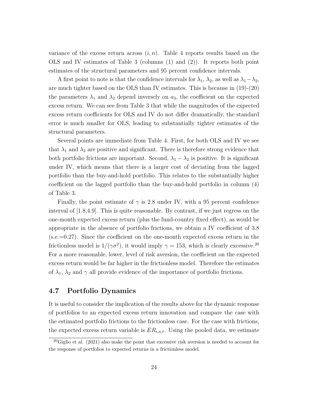variance of the excess return across  $(i, n)$ . Table 4 reports results based on the OLS and IV estimates of Table 3 (columns (1) and (2)). It reports both point estimates of the structural parameters and 95 percent confidence intervals.

A first point to note is that the confidence intervals for  $\lambda_1$ ,  $\lambda_2$ , as well as  $\lambda_1-\lambda_2$ , are much tighter based on the OLS than IV estimates. This is because in (19)-(20) the parameters  $\lambda_1$  and  $\lambda_2$  depend inversely on  $a_3$ , the coefficient on the expected excess return. We can see from Table 3 that while the magnitudes of the expected excess return coefficients for OLS and IV do not differ dramatically, the standard error is much smaller for OLS, leading to substantially tighter estimates of the structural parameters.

Several points are immediate from Table 4. First, for both OLS and IV we see that  $\lambda_1$  and  $\lambda_2$  are positive and significant. There is therefore strong evidence that both portfolio frictions are important. Second,  $\lambda_1 - \lambda_2$  is positive. It is significant under IV, which means that there is a larger cost of deviating from the lagged portfolio than the buy-and-hold portfolio. This relates to the substantially higher coefficient on the lagged portfolio than the buy-and-hold portfolio in column (4) of Table 3.

Finally, the point estimate of  $\gamma$  is 2.8 under IV, with a 95 percent confidence interval of [1.8,4.9]. This is quite reasonable. By contrast, if we just regress on the one-month expected excess return (plus the fund-country fixed effect), as would be appropriate in the absence of portfolio frictions, we obtain a IV coefficient of 3.8 (s.e.=0.27). Since the coefficient on the one-month expected excess return in the frictionless model is  $1/(\gamma\sigma^2)$ , it would imply  $\gamma = 153$ , which is clearly excessive.<sup>20</sup> For a more reasonable, lower, level of risk aversion, the coefficient on the expected excess return would be far higher in the frictionless model. Therefore the estimates of  $\lambda_1$ ,  $\lambda_2$  and  $\gamma$  all provide evidence of the importance of portfolio frictions.

#### 4.7 Portfolio Dynamics

It is useful to consider the implication of the results above for the dynamic response of portfolios to an expected excess return innovation and compare the case with the estimated portfolio frictions to the frictionless case. For the case with frictions, the expected excess return variable is  $ER_{i,n,t}$ . Using the pooled data, we estimate

 $^{20}$ Giglio et al. (2021) also make the point that excessive risk aversion is needed to account for the response of portfolios to expected returns in a frictionless model.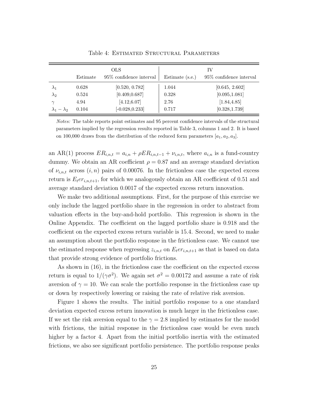|                         |          | <b>OLS</b>                 |                 | ΙV                         |
|-------------------------|----------|----------------------------|-----------------|----------------------------|
|                         | Estimate | $95\%$ confidence interval | Estimate (s.e.) | $95\%$ confidence interval |
| $\lambda_1$             | 0.628    | [0.520, 0.782]             | 1.044           | [0.645, 2.602]             |
| $\lambda_2$             | 0.524    | [0.409, 0.687]             | 0.328           | [0.095, 1.081]             |
| $\sim$                  | 4.94     | [4.12, 6.07]               | 2.76            | [1.84, 4.85]               |
| $\lambda_1 - \lambda_2$ | 0.104    | $[-0.028, 0.233]$          | 0.717           | [0.328, 1.739]             |

Table 4: Estimated Structural Parameters

Notes: The table reports point estimates and 95 percent confidence intervals of the structural parameters implied by the regression results reported in Table 3, columns 1 and 2. It is based on 100,000 draws from the distribution of the reduced form parameters  $[a_1, a_2, a_3]$ .

an AR(1) process  $ER_{i,n,t} = a_{i,n} + \rho ER_{i,n,t-1} + \nu_{i,n,t}$ , where  $a_{i,n}$  is a fund-country dummy. We obtain an AR coefficient  $\rho = 0.87$  and an average standard deviation of  $\nu_{i,n,t}$  across  $(i, n)$  pairs of 0.00076. In the frictionless case the expected excess return is  $E_t$ er<sub>i,n,t+1</sub>, for which we analogously obtain an AR coefficient of 0.51 and average standard deviation 0.0017 of the expected excess return innovation.

We make two additional assumptions. First, for the purpose of this exercise we only include the lagged portfolio share in the regression in order to abstract from valuation effects in the buy-and-hold portfolio. This regression is shown in the Online Appendix. The coefficient on the lagged portfolio share is 0.918 and the coefficient on the expected excess return variable is 15.4. Second, we need to make an assumption about the portfolio response in the frictionless case. We cannot use the estimated response when regressing  $z_{i,n,t}$  on  $E_t$ er<sub>i,n,t+1</sub> as that is based on data that provide strong evidence of portfolio frictions.

As shown in (16), in the frictionless case the coefficient on the expected excess return is equal to  $1/(\gamma\sigma^2)$ . We again set  $\sigma^2 = 0.00172$  and assume a rate of risk aversion of  $\gamma = 10$ . We can scale the portfolio response in the frictionless case up or down by respectively lowering or raising the rate of relative risk aversion.

Figure 1 shows the results. The initial portfolio response to a one standard deviation expected excess return innovation is much larger in the frictionless case. If we set the risk aversion equal to the  $\gamma = 2.8$  implied by estimates for the model with frictions, the initial response in the frictionless case would be even much higher by a factor 4. Apart from the initial portfolio inertia with the estimated frictions, we also see significant portfolio persistence. The portfolio response peaks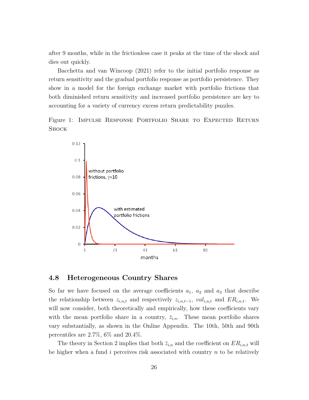after 9 months, while in the frictionless case it peaks at the time of the shock and dies out quickly.

Bacchetta and van Wincoop (2021) refer to the initial portfolio response as return sensitivity and the gradual portfolio response as portfolio persistence. They show in a model for the foreign exchange market with portfolio frictions that both diminished return sensitivity and increased portfolio persistence are key to accounting for a variety of currency excess return predictability puzzles.

Figure 1: Impulse Response Portfolio Share to Expected Return **SHOCK** 



#### 4.8 Heterogeneous Country Shares

So far we have focused on the average coefficients  $a_1, a_2$  and  $a_3$  that describe the relationship between  $z_{i,n,t}$  and respectively  $z_{i,n,t-1}$ ,  $val_{i,n,t}$  and  $ER_{i,n,t}$ . We will now consider, both theoretically and empirically, how these coefficients vary with the mean portfolio share in a country,  $\bar{z}_{i,n}$ . These mean portfolio shares vary substantially, as shown in the Online Appendix. The 10th, 50th and 90th percentiles are 2.7%, 6% and 20.4%.

The theory in Section 2 implies that both  $\bar{z}_{i,n}$  and the coefficient on  $ER_{i,n,t}$  will be higher when a fund  $i$  perceives risk associated with country  $n$  to be relatively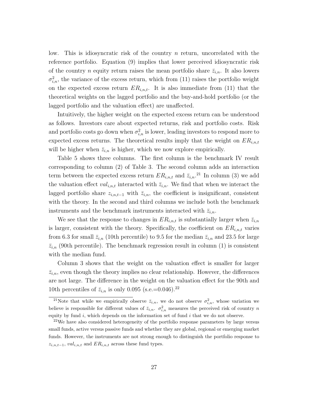low. This is idiosyncratic risk of the country n return, uncorrelated with the reference portfolio. Equation (9) implies that lower perceived idiosyncratic risk of the country *n* equity return raises the mean portfolio share  $\bar{z}_{i,n}$ . It also lowers  $\sigma_{i,n}^2$ , the variance of the excess return, which from (11) raises the portfolio weight on the expected excess return  $ER_{i,n,t}$ . It is also immediate from (11) that the theoretical weights on the lagged portfolio and the buy-and-hold portfolio (or the lagged portfolio and the valuation effect) are unaffected.

Intuitively, the higher weight on the expected excess return can be understood as follows. Investors care about expected returns, risk and portfolio costs. Risk and portfolio costs go down when  $\sigma_{i,n}^2$  is lower, leading investors to respond more to expected excess returns. The theoretical results imply that the weight on  $ER_{i,n,t}$ will be higher when  $\bar{z}_{i,n}$  is higher, which we now explore empirically.

Table 5 shows three columns. The first column is the benchmark IV result corresponding to column (2) of Table 3. The second column adds an interaction term between the expected excess return  $ER_{i,n,t}$  and  $\bar{z}_{i,n}$ .<sup>21</sup> In column (3) we add the valuation effect  $val_{i,n,t}$  interacted with  $\bar{z}_{i,n}$ . We find that when we interact the lagged portfolio share  $z_{i,n,t-1}$  with  $\bar{z}_{i,n}$ , the coefficient is insignificant, consistent with the theory. In the second and third columns we include both the benchmark instruments and the benchmark instruments interacted with  $\bar{z}_{i,n}$ .

We see that the response to changes in  $ER_{i,n,t}$  is substantially larger when  $\bar{z}_{i,n}$ is larger, consistent with the theory. Specifically, the coefficient on  $ER_{i,n,t}$  varies from 6.3 for small  $\bar{z}_{i,n}$  (10th percentile) to 9.5 for the median  $\bar{z}_{i,n}$  and 23.5 for large  $\bar{z}_{i,n}$  (90th percentile). The benchmark regression result in column (1) is consistent with the median fund.

Column 3 shows that the weight on the valuation effect is smaller for larger  $\bar{z}_{i,n}$ , even though the theory implies no clear relationship. However, the differences are not large. The difference in the weight on the valuation effect for the 90th and 10th percentiles of  $\bar{z}_{i,n}$  is only 0.095 (s.e.=0.046).<sup>22</sup>

<sup>&</sup>lt;sup>21</sup>Note that while we empirically observe  $\bar{z}_{i,n}$ , we do not observe  $\sigma_{i,n}^2$ , whose variation we believe is responsible for different values of  $\bar{z}_{i,n}$ .  $\sigma_{i,n}^2$  measures the perceived risk of country n equity by fund i, which depends on the information set of fund i that we do not observe.

 $22$ We have also considered heterogeneity of the portfolio response parameters by large versus small funds, active versus passive funds and whether they are global, regional or emerging market funds. However, the instruments are not strong enough to distinguish the portfolio response to  $z_{i,n,t-1}$ , val<sub>i,n,t</sub> and  $ER_{i,n,t}$  across these fund types.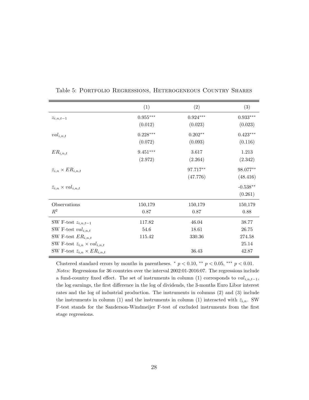|                                              | (1)                    | (2)        | (3)        |
|----------------------------------------------|------------------------|------------|------------|
| $z_{i,n,t-1}$                                | $0.955^{\ast\ast\ast}$ | $0.924***$ | $0.933***$ |
|                                              | (0.012)                | (0.023)    | (0.023)    |
| $val_{i,n,t}$                                | $0.228***$             | $0.202**$  | $0.423***$ |
|                                              | (0.072)                | (0.093)    | (0.116)    |
| $ER_{i,n,t}$                                 | $9.451***$             | 3.617      | 1.213      |
|                                              | (2.972)                | (2.264)    | (2.342)    |
| $\bar{z}_{i,n} \times ER_{i,n,t}$            |                        | 97.717**   | 98.077**   |
|                                              |                        | (47.776)   | (48.416)   |
| $\bar{z}_{i,n} \times val_{i,n,t}$           |                        |            | $-0.538**$ |
|                                              |                        |            | (0.261)    |
| Observations                                 | 150,179                | 150,179    | 150,179    |
| $R^2$                                        | 0.87                   | 0.87       | 0.88       |
| SW F-test $z_{i,n,t-1}$                      | 117.82                 | 46.04      | 38.77      |
| SW F-test $val_{i,n,t}$                      | 54.6                   | 18.61      | 26.75      |
| SW F-test $ER_{i,n,t}$                       | 115.42                 | 330.36     | 274.58     |
| SW F-test $\bar{z}_{i,n} \times val_{i,n,t}$ |                        |            | 25.14      |
| SW F-test $\bar{z}_{i,n} \times ER_{i,n,t}$  |                        | 36.43      | 42.87      |

Table 5: Portfolio Regressions, Heterogeneous Country Shares

Clustered standard errors by months in parentheses.  $*$   $p < 0.10$ ,  $**$   $p < 0.05$ ,  $**$   $p < 0.01$ . Notes: Regressions for 36 countries over the interval 2002:01-2016:07. The regressions include a fund-country fixed effect. The set of instruments in column (1) corresponds to  $val_{i,n,t-1}$ , the log earnings, the first difference in the log of dividends, the 3-months Euro Libor interest rates and the log of industrial production. The instruments in columns (2) and (3) include the instruments in column (1) and the instruments in column (1) interacted with  $\bar{z}_{i,n}$ . SW F-test stands for the Sanderson-Windmeijer F-test of excluded instruments from the first stage regressions.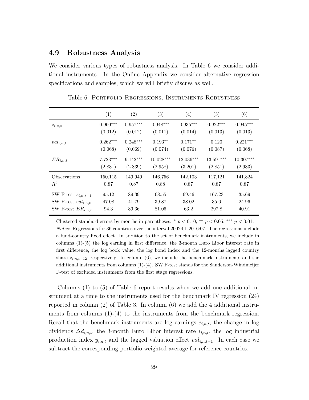#### 4.9 Robustness Analysis

We consider various types of robustness analysis. In Table 6 we consider additional instruments. In the Online Appendix we consider alternative regression specifications and samples, which we will briefly discuss as well.

|                         | (1)        | (2)        | (3)         | (4)        | (5)        | (6)         |
|-------------------------|------------|------------|-------------|------------|------------|-------------|
| $z_{i,n,t-1}$           | $0.960***$ | $0.957***$ | $0.948***$  | $0.935***$ | $0.922***$ | $0.945***$  |
|                         | (0.012)    | (0.012)    | (0.011)     | (0.014)    | (0.013)    | (0.013)     |
| $val_{i,n,t}$           | $0.262***$ | $0.248***$ | $0.193**$   | $0.171**$  | 0.120      | $0.221***$  |
|                         | (0.068)    | (0.069)    | (0.074)     | (0.076)    | (0.087)    | (0.068)     |
| $ER_{i,n,t}$            | $7.723***$ | $9.142***$ | $10.028***$ | 12.036***  | 13.591***  | $10.307***$ |
|                         | (2.831)    | (2.839)    | (2.958)     | (3.201)    | (2.851)    | (2.933)     |
| Observations            | 150,115    | 149,949    | 146,756     | 142,103    | 117,121    | 141,824     |
| $R^2$                   | 0.87       | 0.87       | 0.88        | 0.87       | 0.87       | 0.87        |
| SW F-test $z_{i,n,t-1}$ | 95.12      | 89.39      | 68.55       | 69.46      | 167.23     | 35.69       |
| SW F-test $val_{i,n,t}$ | 47.08      | 41.79      | 39.87       | 38.02      | 35.6       | 24.96       |
| SW F-test $ER_{i,n,t}$  | 94.3       | 89.36      | 81.06       | 63.2       | 297.8      | 40.91       |

Table 6: Portfolio Regressions, Instruments Robustness

Clustered standard errors by months in parentheses.  $*$   $p < 0.10$ ,  $**$   $p < 0.05$ ,  $***$   $p < 0.01$ . Notes: Regressions for 36 countries over the interval 2002:01-2016:07. The regressions include a fund-country fixed effect. In addition to the set of benchmark instruments, we include in columns (1)-(5) the log earning in first difference, the 3-month Euro Libor interest rate in first difference, the log book value, the log bond index and the 12-months lagged country share  $z_{i,n,t-12}$ , respectively. In column (6), we include the benchmark instruments and the additional instruments from columns (1)-(4). SW F-test stands for the Sanderson-Windmeijer F-test of excluded instruments from the first stage regressions.

Columns (1) to (5) of Table 6 report results when we add one additional instrument at a time to the instruments used for the benchmark IV regression (24) reported in column (2) of Table 3. In column (6) we add the 4 additional instruments from columns  $(1)-(4)$  to the instruments from the benchmark regression. Recall that the benchmark instruments are log earnings  $e_{i,n,t}$ , the change in log dividends  $\Delta d_{i,n,t}$ , the 3-month Euro Libor interest rate  $i_{i,n,t}$ , the log industrial production index  $y_{i,n,t}$  and the lagged valuation effect  $val_{i,n,t-1}$ . In each case we subtract the corresponding portfolio weighted average for reference countries.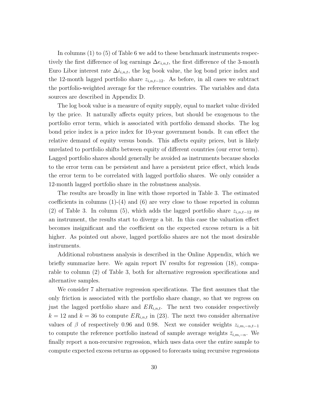In columns (1) to (5) of Table 6 we add to these benchmark instruments respectively the first difference of log earnings  $\Delta e_{i,n,t}$ , the first difference of the 3-month Euro Libor interest rate  $\Delta i_{i,n,t}$ , the log book value, the log bond price index and the 12-month lagged portfolio share  $z_{i,n,t-12}$ . As before, in all cases we subtract the portfolio-weighted average for the reference countries. The variables and data sources are described in Appendix D.

The log book value is a measure of equity supply, equal to market value divided by the price. It naturally affects equity prices, but should be exogenous to the portfolio error term, which is associated with portfolio demand shocks. The log bond price index is a price index for 10-year government bonds. It can effect the relative demand of equity versus bonds. This affects equity prices, but is likely unrelated to portfolio shifts between equity of different countries (our error term). Lagged portfolio shares should generally be avoided as instruments because shocks to the error term can be persistent and have a persistent price effect, which leads the error term to be correlated with lagged portfolio shares. We only consider a 12-month lagged portfolio share in the robustness analysis.

The results are broadly in line with those reported in Table 3. The estimated coefficients in columns (1)-(4) and (6) are very close to those reported in column (2) of Table 3. In column (5), which adds the lagged portfolio share  $z_{i,n,t-12}$  as an instrument, the results start to diverge a bit. In this case the valuation effect becomes insignificant and the coefficient on the expected excess return is a bit higher. As pointed out above, lagged portfolio shares are not the most desirable instruments.

Additional robustness analysis is described in the Online Appendix, which we briefly summarize here. We again report IV results for regression (18), comparable to column (2) of Table 3, both for alternative regression specifications and alternative samples.

We consider 7 alternative regression specifications. The first assumes that the only friction is associated with the portfolio share change, so that we regress on just the lagged portfolio share and  $ER_{i,n,t}$ . The next two consider respectively  $k = 12$  and  $k = 36$  to compute  $ER_{i,n,t}$  in (23). The next two consider alternative values of  $\beta$  of respectively 0.96 and 0.98. Next we consider weights  $z_{i,m,-n,t-1}$ to compute the reference portfolio instead of sample average weights  $\bar{z}_{i,m,-n}$ . We finally report a non-recursive regression, which uses data over the entire sample to compute expected excess returns as opposed to forecasts using recursive regressions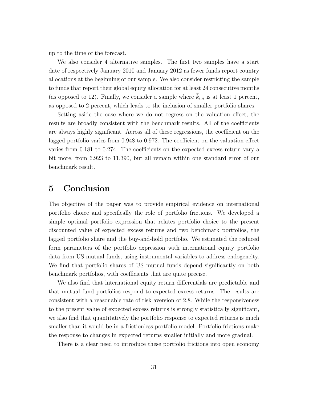up to the time of the forecast.

We also consider 4 alternative samples. The first two samples have a start date of respectively January 2010 and January 2012 as fewer funds report country allocations at the beginning of our sample. We also consider restricting the sample to funds that report their global equity allocation for at least 24 consecutive months (as opposed to 12). Finally, we consider a sample where  $\bar{k}_{i,n}$  is at least 1 percent, as opposed to 2 percent, which leads to the inclusion of smaller portfolio shares.

Setting aside the case where we do not regress on the valuation effect, the results are broadly consistent with the benchmark results. All of the coefficients are always highly significant. Across all of these regressions, the coefficient on the lagged portfolio varies from 0.948 to 0.972. The coefficient on the valuation effect varies from 0.181 to 0.274. The coefficients on the expected excess return vary a bit more, from 6.923 to 11.390, but all remain within one standard error of our benchmark result.

### 5 Conclusion

The objective of the paper was to provide empirical evidence on international portfolio choice and specifically the role of portfolio frictions. We developed a simple optimal portfolio expression that relates portfolio choice to the present discounted value of expected excess returns and two benchmark portfolios, the lagged portfolio share and the buy-and-hold portfolio. We estimated the reduced form parameters of the portfolio expression with international equity portfolio data from US mutual funds, using instrumental variables to address endogeneity. We find that portfolio shares of US mutual funds depend significantly on both benchmark portfolios, with coefficients that are quite precise.

We also find that international equity return differentials are predictable and that mutual fund portfolios respond to expected excess returns. The results are consistent with a reasonable rate of risk aversion of 2.8. While the responsiveness to the present value of expected excess returns is strongly statistically significant, we also find that quantitatively the portfolio response to expected returns is much smaller than it would be in a frictionless portfolio model. Portfolio frictions make the response to changes in expected returns smaller initially and more gradual.

There is a clear need to introduce these portfolio frictions into open economy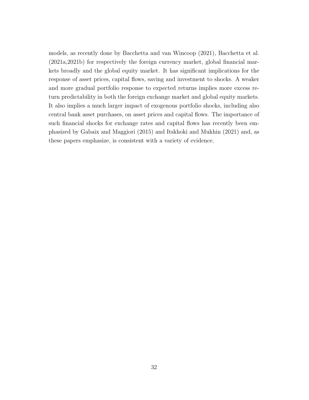models, as recently done by Bacchetta and van Wincoop (2021), Bacchetta et al. (2021a,2021b) for respectively the foreign currency market, global financial markets broadly and the global equity market. It has significant implications for the response of asset prices, capital flows, saving and investment to shocks. A weaker and more gradual portfolio response to expected returns implies more excess return predictability in both the foreign exchange market and global equity markets. It also implies a much larger impact of exogenous portfolio shocks, including also central bank asset purchases, on asset prices and capital flows. The importance of such financial shocks for exchange rates and capital flows has recently been emphasized by Gabaix and Maggiori (2015) and Itskhoki and Mukhin (2021) and, as these papers emphasize, is consistent with a variety of evidence.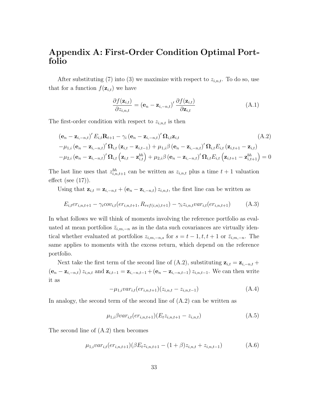## Appendix A: First-Order Condition Optimal Portfolio

After substituting (7) into (3) we maximize with respect to  $z_{i,n,t}$ . To do so, use that for a function  $f(\mathbf{z}_{i,t})$  we have

$$
\frac{\partial f(\mathbf{z}_{i,t})}{\partial z_{i,n,t}} = (\mathbf{e}_n - \mathbf{z}_{i,-n,t})' \frac{\partial f(\mathbf{z}_{i,t})}{\partial \mathbf{z}_{i,t}}
$$
(A.1)

The first-order condition with respect to  $z_{i,n,t}$  is then

$$
(\mathbf{e}_{n} - \mathbf{z}_{i,-n,t})' E_{i,t} \mathbf{R}_{t+1} - \gamma_{i} (\mathbf{e}_{n} - \mathbf{z}_{i,-n,t})' \Omega_{i,t} \mathbf{z}_{i,t}
$$
\n
$$
-\mu_{1,i} (\mathbf{e}_{n} - \mathbf{z}_{i,-n,t})' \Omega_{i,t} (\mathbf{z}_{i,t} - \mathbf{z}_{i,t-1}) + \mu_{1,i} \beta (\mathbf{e}_{n} - \mathbf{z}_{i,-n,t})' \Omega_{i,t} E_{i,t} (\mathbf{z}_{i,t+1} - \mathbf{z}_{i,t})
$$
\n
$$
-\mu_{2,i} (\mathbf{e}_{n} - \mathbf{z}_{i,-n,t})' \Omega_{i,t} (\mathbf{z}_{i,t} - \mathbf{z}_{i,t}^{bh}) + \mu_{2,i} \beta (\mathbf{e}_{n} - \mathbf{z}_{i,-n,t})' \Omega_{i,t} E_{i,t} (\mathbf{z}_{i,t+1} - \mathbf{z}_{i,t+1}^{bh}) = 0
$$
\n(4.2)

The last line uses that  $z_{i,n,t+1}^{bh}$  can be written as  $z_{i,n,t}$  plus a time  $t+1$  valuation effect (see  $(17)$ ).

Using that  $\mathbf{z}_{i,t} = \mathbf{z}_{i,-n,t} + (\mathbf{e}_n - \mathbf{z}_{i,-n,t}) z_{i,n,t}$ , the first line can be written as

$$
E_{i,t}e_{i,n,t+1} - \gamma_i \text{cov}_{i,t}(\text{er}_{i,n,t+1}, R_{ref(i,n),t+1}) - \gamma_i z_{i,n,t} \text{var}_{i,t}(\text{er}_{i,n,t+1}) \tag{A.3}
$$

In what follows we will think of moments involving the reference portfolio as evaluated at mean portfolios  $\bar{z}_{i,m,-n}$  as in the data such covariances are virtually identical whether evaluated at portfolios  $z_{i,m,-n,s}$  for  $s = t - 1, t, t + 1$  or  $\overline{z}_{i,m,-n}$ . The same applies to moments with the excess return, which depend on the reference portfolio.

Next take the first term of the second line of (A.2), substituting  $z_{i,t} = z_{i,-n,t} +$  $(e_n - z_{i,-n,t}) z_{i,n,t}$  and  $z_{i,t-1} = z_{i,-n,t-1} + (e_n - z_{i,-n,t-1}) z_{i,n,t-1}$ . We can then write it as

$$
-\mu_{1,i}var_{i,t}(er_{i,n,t+1})(z_{i,n,t}-z_{i,n,t-1})
$$
\n(A.4)

In analogy, the second term of the second line of (A.2) can be written as

$$
\mu_{1,i}\beta var_{i,t}(er_{i,n,t+1})(E_t z_{i,n,t+1} - z_{i,n,t})
$$
\n(A.5)

The second line of (A.2) then becomes

$$
\mu_{1,i} var_{i,t}(er_{i,n,t+1}) (\beta E_t z_{i,n,t+1} - (1+\beta) z_{i,n,t} + z_{i,n,t-1})
$$
\n(A.6)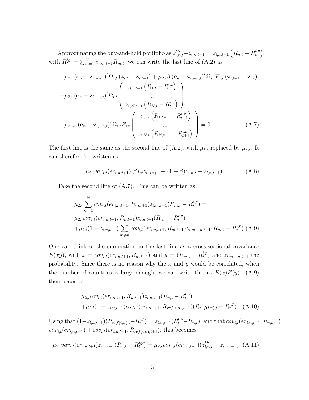Approximating the buy-and-hold portfolio as  $z_{i,n,t}^{bh} - z_{i,n,t-1} = z_{i,n,t-1} \left( R_{n,t} - R_t^{i,p} \right)$  $_{t}^{i,p}\Big),$ with  $R_t^{i,p} = \sum_{m=1}^{N} z_{i,m,t-1}R_{m,t}$ , we can write the last line of  $(A.2)$  as

$$
-\mu_{2,i} (e_n - \mathbf{z}_{i,-n,t})' \Omega_{i,t} (\mathbf{z}_{i,t} - \mathbf{z}_{i,t-1}) + \mu_{2,i} \beta (e_n - \mathbf{z}_{i,-n,t})' \Omega_{i,t} E_{i,t} (\mathbf{z}_{i,t+1} - \mathbf{z}_{i,t})
$$
  
+  $\mu_{2,i} (e_n - \mathbf{z}_{i,-n,t})' \Omega_{i,t} \begin{pmatrix} z_{i,1,t-1} (R_{1,t} - R_t^{i,p}) \\ \dots \\ z_{i,N,t-1} (R_{N,t} - R_t^{i,p}) \end{pmatrix}$   
-  $\mu_{2,i} \beta (e_n - \mathbf{z}_{i,-n,t})' \Omega_{i,t} E_{i,t} \begin{pmatrix} z_{i,1,t} (R_{1,t+1} - R_t^{i,p}) \\ \dots \\ z_{i,N,t} (R_{N,t+1} - R_t^{i,p}) \end{pmatrix} = 0$  (A.7)

The first line is the same as the second line of (A.2), with  $\mu_{1,i}$  replaced by  $\mu_{2,i}$ . It can therefore be written as

$$
\mu_{2,i} var_{i,t}(er_{i,n,t+1}) (\beta E_t z_{i,n,t+1} - (1+\beta) z_{i,n,t} + z_{i,n,t-1})
$$
\n(A.8)

Take the second line of (A.7). This can be written as

$$
\mu_{2,i} \sum_{m=1}^{N} cov_{i,t}(er_{i,n,t+1}, R_{m,t+1}) z_{i,m,t-1}(R_{m,t} - R_t^{i,p}) =
$$
  
\n
$$
\mu_{2,i} cov_{i,t}(er_{i,n,t+1}, R_{n,t+1}) z_{i,n,t-1}(R_{n,t} - R_t^{i,p})
$$
  
\n
$$
+ \mu_{2,i}(1 - z_{i,n,t-1}) \sum_{m \neq n} cov_{i,t}(er_{i,n,t+1}, R_{m,t+1}) z_{i,m,-n,t-1}(R_{m,t} - R_t^{i,p})
$$
 (A.9)

One can think of the summation in the last line as a cross-sectional covariance  $E(xy)$ , with  $x = cov_{i,t}(er_{i,n,t+1}, R_{m,t+1})$  and  $y = (R_{m,t} - R_t^{i,p})$  $t^{i,p}_{t}$ ) and  $z_{i,m,-n,t-1}$  the probability. Since there is no reason why the  $x$  and  $y$  would be correlated, when the number of countries is large enough, we can write this as  $E(x)E(y)$ . (A.9) then becomes

$$
\mu_{2,i}cov_{i,t}(er_{i,n,t+1}, R_{n,t+1})z_{i,n,t-1}(R_{n,t} - R_t^{i,p})
$$
  
+
$$
\mu_{2,i}(1 - z_{i,n,t-1})cov_{i,t}(er_{i,n,t+1}, R_{ref(i,n),t+1})(R_{ref(i,n),t} - R_t^{i,p})
$$
 (A.10)

Using that  $(1-z_{i,n,t-1})(R_{ref(i,n),t}-R_t^{i,p})$  $t_i^{(i,p)}(z_{t,i,n,t-1}^{(i,p)}(R_t^{i,p}-R_{n,t}),$  and that  $cov_{i,t}(er_{i,n,t+1}, R_{n,t+1})=$  $var_{i,t}(er_{i,n,t+1}) + cov_{i,t}(er_{i,n,t+1}, R_{ref(i,n),t+1}),$  this becomes

$$
\mu_{2,i} var_{i,t}(er_{i,n,t+1}) z_{i,n,t-1}(R_{n,t} - R_t^{i,p}) = \mu_{2,i} var_{i,t}(er_{i,n,t+1})(z_{i,n,t}^{bh} - z_{i,n,t-1})
$$
(A.11)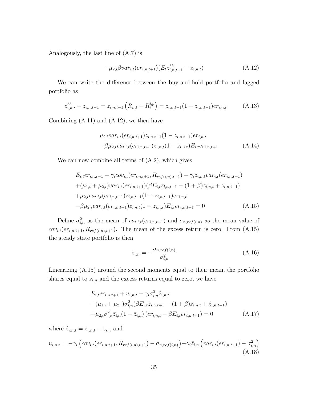Analogously, the last line of (A.7) is

$$
-\mu_{2,i}\beta var_{i,t}(er_{i,n,t+1})(E_t z_{i,n,t+1}^{bh} - z_{i,n,t})
$$
\n(A.12)

We can write the difference between the buy-and-hold portfolio and lagged portfolio as

$$
z_{i,n,t}^{bh} - z_{i,n,t-1} = z_{i,n,t-1} \left( R_{n,t} - R_t^{i,p} \right) = z_{i,n,t-1} (1 - z_{i,n,t-1}) e r_{i,n,t} \tag{A.13}
$$

Combining  $(A.11)$  and  $(A.12)$ , we then have

$$
\mu_{2,i} var_{i,t}(er_{i,n,t+1}) z_{i,n,t-1} (1 - z_{i,n,t-1}) er_{i,n,t} - \beta \mu_{2,i} var_{i,t}(er_{i,n,t+1}) z_{i,n,t} (1 - z_{i,n,t}) E_{i,t} er_{i,n,t+1}
$$
\n(A.14)

We can now combine all terms of (A.2), which gives

$$
E_{i,t}er_{i,n,t+1} - \gamma_i cov_{i,t}(er_{i,n,t+1}, R_{ref(i,n),t+1}) - \gamma_i z_{i,n,t} var_{i,t}(er_{i,n,t+1})
$$
  
+ (\mu\_{1,i} + \mu\_{2,i})var\_{i,t}(er\_{i,n,t+1})(\beta E\_{i,t}z\_{i,n,t+1} - (1+\beta)z\_{i,n,t} + z\_{i,n,t-1})  
+ \mu\_{2,i}var\_{i,t}(er\_{i,n,t+1})z\_{i,n,t-1}(1-z\_{i,n,t-1})er\_{i,n,t}  
-\beta \mu\_{2,i}var\_{i,t}(er\_{i,n,t+1})z\_{i,n,t}(1-z\_{i,n,t})E\_{i,t}er\_{i,n,t+1} = 0 (A.15)

Define  $\sigma_{i,n}^2$  as the mean of  $var_{i,t}(er_{i,n,t+1})$  and  $\sigma_{n,ref(i,n)}$  as the mean value of  $cov_{i,t}(er_{i,n,t+1}, R_{ref(i,n),t+1})$ . The mean of the excess return is zero. From  $(A.15)$ the steady state portfolio is then

$$
\bar{z}_{i,n} = -\frac{\sigma_{n,ref(i,n)}}{\sigma_{i,n}^2} \tag{A.16}
$$

Linearizing (A.15) around the second moments equal to their mean, the portfolio shares equal to  $\bar{z}_{i,n}$  and the excess returns equal to zero, we have

$$
E_{i,t}er_{i,n,t+1} + u_{i,n,t} - \gamma_i \sigma_{i,n}^2 \hat{z}_{i,n,t}
$$
  
+ 
$$
(\mu_{1,i} + \mu_{2,i})\sigma_{i,n}^2(\beta E_{i,t}\hat{z}_{i,n,t+1} - (1+\beta)\hat{z}_{i,n,t} + \hat{z}_{i,n,t-1})
$$
  
+ 
$$
\mu_{2,i}\sigma_{i,n}^2 \bar{z}_{i,n}(1-\bar{z}_{i,n}) (er_{i,n,t} - \beta E_{i,t}er_{i,n,t+1}) = 0
$$
 (A.17)

where  $\hat{z}_{i,n,t} = z_{i,n,t} - \overline{z}_{i,n}$  and

$$
u_{i,n,t} = -\gamma_i \left( cov_{i,t}(er_{i,n,t+1}, R_{ref(i,n),t+1}) - \sigma_{n,ref(i,n)} \right) - \gamma_i \bar{z}_{i,n} \left( var_{i,t}(er_{i,n,t+1}) - \sigma_{i,n}^2 \right)
$$
\n(A.18)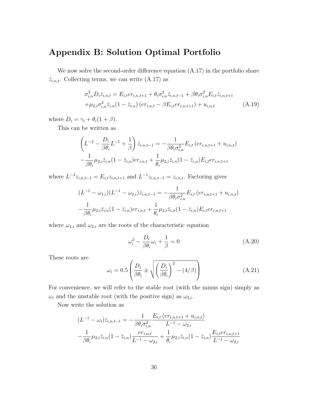### Appendix B: Solution Optimal Portfolio

We now solve the second-order difference equation  $(A.17)$  in the portfolio share  $\hat{z}_{i,n,t}$ . Collecting terms, we can write  $(A.17)$  as

$$
\sigma_{i,n}^2 D_i \hat{z}_{i,n,t} = E_{i,t} e r_{i,n,t+1} + \theta_i \sigma_{i,n}^2 \hat{z}_{i,n,t-1} + \beta \theta_i \sigma_{i,n}^2 E_{i,t} \hat{z}_{i,n,t+1}
$$
  
 
$$
+ \mu_{2,i} \sigma_{i,n}^2 \bar{z}_{i,n} (1 - \bar{z}_{i,n}) (e r_{i,n,t} - \beta E_{i,t} e r_{i,n,t+1}) + u_{i,n,t}
$$
 (A.19)

where  $D_i = \gamma_i + \theta_i(1+\beta)$ .

This can be written as

$$
\left(L^{-2} - \frac{D_i}{\beta \theta_i} L^{-1} + \frac{1}{\beta}\right) \hat{z}_{i,n,t-1} = -\frac{1}{\beta \theta_i \sigma_{i,n}^2} E_{i,t} (er_{i,n,t+1} + u_{i,n,t})
$$

$$
-\frac{1}{\beta \theta_i} \mu_{2,i} \bar{z}_{i,n} (1 - \bar{z}_{i,n}) er_{i,n,t} + \frac{1}{\theta_i} \mu_{2,i} \bar{z}_{i,n} (1 - \bar{z}_{i,n}) E_{i,t} er_{i,n,t+1}
$$

where  $L^{-2}z_{i,n,t-1} = E_{i,t}z_{i,n,t+1}$  and  $L^{-1}z_{i,n,t-1} = z_{i,n,t}$ . Factoring gives

$$
(L^{-1} - \omega_{1,i})(L^{-1} - \omega_{2,i})\hat{z}_{i,n,t-1} = -\frac{1}{\beta \theta_i \sigma_{i,n}^2} E_{i,t} (er_{i,n,t+1} + u_{i,n,t})
$$

$$
-\frac{1}{\beta \theta_i} \mu_{2,i} \bar{z}_{i,n} (1 - \bar{z}_{i,n}) er_{i,n,t} + \frac{1}{\theta_i} \mu_{2,i} \bar{z}_{i,n} (1 - \bar{z}_{i,n}) E_{i,t} er_{i,n,t+1}
$$

where  $\omega_{1,i}$  and  $\omega_{2,i}$  are the roots of the characteristic equation

$$
\omega_i^2 - \frac{D_i}{\beta \theta_i} \omega_i + \frac{1}{\beta} = 0 \tag{A.20}
$$

These roots are

$$
\omega_i = 0.5 \left( \frac{D_i}{\beta \theta_i} \pm \sqrt{\left( \frac{D_i}{\beta \theta_i} \right)^2 - (4/\beta)} \right) \tag{A.21}
$$

For convenience, we will refer to the stable root (with the minus sign) simply as  $\omega_i$  and the unstable root (with the positive sign) as  $\omega_{2,i}$ .

Now write the solution as

$$
(L^{-1} - \omega_i) \hat{z}_{i,n,t-1} = -\frac{1}{\beta \theta_i \sigma_{i,n}^2} \frac{E_{i,t} (er_{i,n,t+1} + u_{i,n,t})}{L^{-1} - \omega_{2,i}}
$$

$$
-\frac{1}{\beta \theta_i} \mu_{2,i} \bar{z}_{i,n} (1 - \bar{z}_{i,n}) \frac{er_{i,n,t}}{L^{-1} - \omega_{2,i}} + \frac{1}{\theta_i} \mu_{2,i} \bar{z}_{i,n} (1 - \bar{z}_{i,n}) \frac{E_{i,t} er_{i,n,t+1}}{L^{-1} - \omega_{2,i}}
$$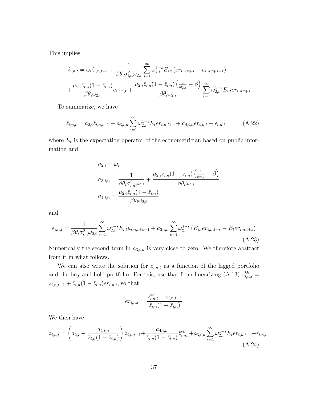This implies

$$
\hat{z}_{i,n,t} = \omega_i \hat{z}_{i,n,t-1} + \frac{1}{\beta \theta_i \sigma_{i,n}^2 \omega_{2,i}} \sum_{s=1}^{\infty} \omega_{2,i}^{1-s} E_{i,t} (er_{i,n,t+s} + u_{i,n,t+s-1}) \n+ \frac{\mu_{2,i} \bar{z}_{i,n} (1 - \bar{z}_{i,n})}{\beta \theta_i \omega_{2,i}} er_{i,n,t} + \frac{\mu_{2,i} \bar{z}_{i,n} (1 - \bar{z}_{i,n}) (\frac{1}{\omega_{2,i}} - \beta)}{\beta \theta_i \omega_{2,i}} \sum_{s=1}^{\infty} \omega_{2,i}^{1-s} E_{i,t} er_{i,n,t+s}
$$

To summarize, we have

$$
\hat{z}_{i,n,t} = a_{2,i}\hat{z}_{i,n,t-1} + a_{3,i,n} \sum_{s=1}^{\infty} \omega_{2,i}^{1-s} E_t e r_{i,n,t+s} + a_{4,i,n} e r_{i,n,t} + \epsilon_{i,n,t}
$$
(A.22)

where  $E_t$  is the expectation operator of the econometrician based on public information and

$$
a_{2,i} = \omega_i
$$
  
\n
$$
a_{3,i,n} = \frac{1}{\beta \theta_i \sigma_{i,n}^2 \omega_{2,i}} + \frac{\mu_{2,i} \bar{z}_{i,n} (1 - \bar{z}_{i,n}) \left(\frac{1}{\omega_{2,i}} - \beta\right)}{\beta \theta_i \omega_{2,i}}
$$
  
\n
$$
a_{4,i,n} = \frac{\mu_{2,i} \bar{z}_{i,n} (1 - \bar{z}_{i,n})}{\beta \theta_i \omega_{2,i}}
$$

and

$$
\epsilon_{i,n,t} = \frac{1}{\beta \theta_i \sigma_{i,n}^2 \omega_{2,i}} \sum_{s=1}^{\infty} \omega_{2,i}^{1-s} E_{i,t} u_{i,n,t+s-1} + a_{3,i,n} \sum_{s=1}^{\infty} \omega_{2,i}^{1-s} \left( E_{i,t} e r_{i,n,t+s} - E_t e r_{i,n,t+s} \right)
$$
\n(A.23)

Numerically the second term in  $a_{3,i,n}$  is very close to zero. We therefore abstract from it in what follows.

We can also write the solution for  $z_{i,n,t}$  as a function of the lagged portfolio and the buy-and-hold portfolio. For this, use that from linearizing (A.13)  $z_{i,n,t}^{bh}$  =  $z_{i,n,t-1}+\bar{z}_{i,n}(1-\bar{z}_{i,n})er_{i,n,t},$  so that

$$
er_{i,n,t} = \frac{z_{i,n,t}^{bh} - z_{i,n,t-1}}{\bar{z}_{i,n}(1 - \bar{z}_{i,n})}
$$

We then have

$$
\hat{z}_{i,n,t} = \left(a_{2,i} - \frac{a_{4,i,n}}{\bar{z}_{i,n}(1-\bar{z}_{i,n})}\right)\hat{z}_{i,n,t-1} + \frac{a_{4,i,n}}{\bar{z}_{i,n}(1-\bar{z}_{i,n})}\hat{z}_{i,n,t}^{bh} + a_{3,i,n} \sum_{s=1}^{\infty} \omega_{2,i}^{1-s} E_t e r_{i,n,t+s} + \epsilon_{i,n,t}
$$
\n(A.24)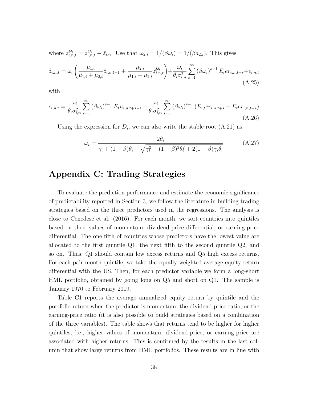where  $\hat{z}_{i,n,t}^{bh} = z_{i,n,t}^{bh} - \bar{z}_{i,n}$ . Use that  $\omega_{2,i} = 1/(\beta \omega_i) = 1/(\beta a_{2,i})$ . This gives  $\hat{z}_{i,n,t} = \omega_i$  $\mu_{1,i}$  $\mu_{1,i} + \mu_{2,i}$  $\hat{z}_{i,n,t-1} +$  $\mu_{2,i}$  $\mu_{1,i} + \mu_{2,i}$  $\left(\hat{z}_{i,n,t}^{bh}\right)+\frac{\omega_i}{\sqrt{2}}$  $\theta_i \sigma_{i,n}^2$  $\sum^{\infty}$  $s=1$  $(\beta \omega_i)^{s-1} E_t er_{i,n,t+s} + \epsilon_{i,n,t}$ 

with

$$
\epsilon_{i,n,t} = \frac{\omega_i}{\theta_i \sigma_{i,n}^2} \sum_{s=1}^{\infty} (\beta \omega_i)^{s-1} E_t u_{i,n,t+s-1} + \frac{\omega_i}{\theta_i \sigma_{i,n}^2} \sum_{s=1}^{\infty} (\beta \omega_i)^{s-1} (E_{i,t} e r_{i,n,t+s} - E_t e r_{i,n,t+s})
$$
\n(A.26)

Using the expression for  $D_i$ , we can also write the stable root  $(A.21)$  as

$$
\omega_i = \frac{2\theta_i}{\gamma_i + (1+\beta)\theta_i + \sqrt{\gamma_i^2 + (1-\beta)^2 \theta_i^2 + 2(1+\beta)\gamma_i \theta_i}}
$$
(A.27)

(A.25)

## Appendix C: Trading Strategies

To evaluate the prediction performance and estimate the economic significance of predictability reported in Section 3, we follow the literature in building trading strategies based on the three predictors used in the regressions. The analysis is close to Cenedese et al. (2016). For each month, we sort countries into quintiles based on their values of momentum, dividend-price differential, or earning-price differential. The one fifth of countries whose predictors have the lowest value are allocated to the first quintile Q1, the next fifth to the second quintile Q2, and so on. Thus, Q1 should contain low excess returns and Q5 high excess returns. For each pair month-quintile, we take the equally weighted average equity return differential with the US. Then, for each predictor variable we form a long-short HML portfolio, obtained by going long on Q5 and short on Q1. The sample is January 1970 to February 2019.

Table C1 reports the average annualized equity return by quintile and the portfolio return when the predictor is momentum, the dividend-price ratio, or the earning-price ratio (it is also possible to build strategies based on a combination of the three variables). The table shows that returns tend to be higher for higher quintiles, i.e., higher values of momentum, dividend-price, or earning-price are associated with higher returns. This is confirmed by the results in the last column that show large returns from HML portfolios. These results are in line with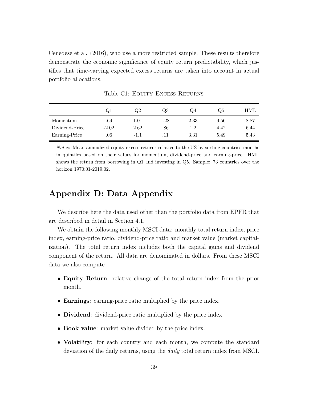Cenedese et al. (2016), who use a more restricted sample. These results therefore demonstrate the economic significance of equity return predictability, which justifies that time-varying expected excess returns are taken into account in actual portfolio allocations.

|                | ÖΤ      | Q2       | Q3     | Q4   | Q5   | HML  |
|----------------|---------|----------|--------|------|------|------|
| Momentum       | .69     | $1.01\,$ | $-.28$ | 2.33 | 9.56 | 8.87 |
| Dividend-Price | $-2.02$ | 2.62     | .86    | 1.2  | 4.42 | 6.44 |
| Earning-Price  | .06     | $-1.1$   |        | 3.31 | 5.49 | 5.43 |

Table C1: EQUITY EXCESS RETURNS

Notes: Mean annualized equity excess returns relative to the US by sorting countries-months in quintiles based on their values for momentum, dividend-price and earning-price. HML shows the return from borrowing in Q1 and investing in Q5. Sample: 73 countries over the horizon 1970:01-2019:02.

## Appendix D: Data Appendix

We describe here the data used other than the portfolio data from EPFR that are described in detail in Section 4.1.

We obtain the following monthly MSCI data: monthly total return index, price index, earning-price ratio, dividend-price ratio and market value (market capitalization). The total return index includes both the capital gains and dividend component of the return. All data are denominated in dollars. From these MSCI data we also compute

- Equity Return: relative change of the total return index from the prior month.
- Earnings: earning-price ratio multiplied by the price index.
- Dividend: dividend-price ratio multiplied by the price index.
- Book value: market value divided by the price index.
- **Volatility**: for each country and each month, we compute the standard deviation of the daily returns, using the daily total return index from MSCI.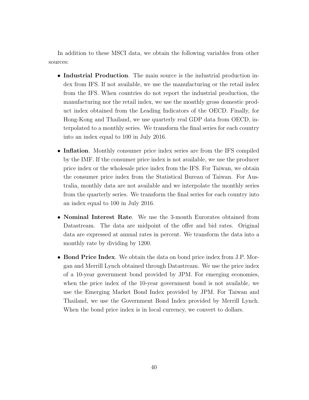In addition to these MSCI data, we obtain the following variables from other sources:

- Industrial Production. The main source is the industrial production index from IFS. If not available, we use the manufacturing or the retail index from the IFS. When countries do not report the industrial production, the manufacturing nor the retail index, we use the monthly gross domestic product index obtained from the Leading Indicators of the OECD. Finally, for Hong-Kong and Thailand, we use quarterly real GDP data from OECD, interpolated to a monthly series. We transform the final series for each country into an index equal to 100 in July 2016.
- Inflation. Monthly consumer price index series are from the IFS compiled by the IMF. If the consumer price index is not available, we use the producer price index or the wholesale price index from the IFS. For Taiwan, we obtain the consumer price index from the Statistical Bureau of Taiwan. For Australia, monthly data are not available and we interpolate the monthly series from the quarterly series. We transform the final series for each country into an index equal to 100 in July 2016.
- Nominal Interest Rate. We use the 3-month Eurorates obtained from Datastream. The data are midpoint of the offer and bid rates. Original data are expressed at annual rates in percent. We transform the data into a monthly rate by dividing by 1200.
- Bond Price Index. We obtain the data on bond price index from J.P. Morgan and Merrill Lynch obtained through Datastream. We use the price index of a 10-year government bond provided by JPM. For emerging economies, when the price index of the 10-year government bond is not available, we use the Emerging Market Bond Index provided by JPM. For Taiwan and Thailand, we use the Government Bond Index provided by Merrill Lynch. When the bond price index is in local currency, we convert to dollars.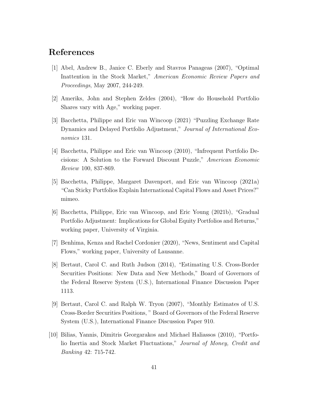## References

- [1] Abel, Andrew B., Janice C. Eberly and Stavros Panageas (2007), "Optimal Inattention in the Stock Market," American Economic Review Papers and Proceedings, May 2007, 244-249.
- [2] Ameriks, John and Stephen Zeldes (2004), "How do Household Portfolio Shares vary with Age," working paper.
- [3] Bacchetta, Philippe and Eric van Wincoop (2021) "Puzzling Exchange Rate Dynamics and Delayed Portfolio Adjustment," Journal of International Economics 131.
- [4] Bacchetta, Philippe and Eric van Wincoop (2010), "Infrequent Portfolio Decisions: A Solution to the Forward Discount Puzzle," American Economic Review 100, 837-869.
- [5] Bacchetta, Philippe, Margaret Davenport, and Eric van Wincoop (2021a) "Can Sticky Portfolios Explain International Capital Flows and Asset Prices?" mimeo.
- [6] Bacchetta, Philippe, Eric van Wincoop, and Eric Young (2021b), "Gradual Portfolio Adjustment: Implications for Global Equity Portfolios and Returns," working paper, University of Virginia.
- [7] Benhima, Kenza and Rachel Cordonier (2020), "News, Sentiment and Capital Flows," working paper, University of Lausanne.
- [8] Bertaut, Carol C. and Ruth Judson (2014), "Estimating U.S. Cross-Border Securities Positions: New Data and New Methods," Board of Governors of the Federal Reserve System (U.S.), International Finance Discussion Paper 1113.
- [9] Bertaut, Carol C. and Ralph W. Tryon (2007), "Monthly Estimates of U.S. Cross-Border Securities Positions, " Board of Governors of the Federal Reserve System (U.S.), International Finance Discussion Paper 910.
- [10] Bilias, Yannis, Dimitris Georgarakos and Michael Haliassos (2010), "Portfolio Inertia and Stock Market Fluctuations," Journal of Money, Credit and Banking 42: 715-742.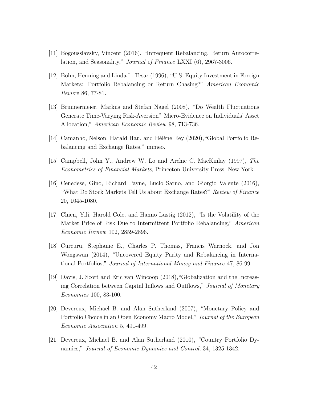- [11] Bogousslavsky, Vincent (2016), "Infrequent Rebalancing, Return Autocorrelation, and Seasonality," Journal of Finance LXXI (6), 2967-3006.
- [12] Bohn, Henning and Linda L. Tesar (1996), "U.S. Equity Investment in Foreign Markets: Portfolio Rebalancing or Return Chasing?" American Economic Review 86, 77-81.
- [13] Brunnermeier, Markus and Stefan Nagel (2008), "Do Wealth Fluctuations Generate Time-Varying Risk-Aversion? Micro-Evidence on Individuals' Asset Allocation," American Economic Review 98, 713-736.
- [14] Camanho, Nelson, Harald Hau, and Hélène Rey (2020), "Global Portfolio Rebalancing and Exchange Rates," mimeo.
- [15] Campbell, John Y., Andrew W. Lo and Archie C. MacKinlay (1997), The Econometrics of Financial Markets, Princeton University Press, New York.
- [16] Cenedese, Gino, Richard Payne, Lucio Sarno, and Giorgio Valente (2016), "What Do Stock Markets Tell Us about Exchange Rates?" Review of Finance 20, 1045-1080.
- [17] Chien, Yili, Harold Cole, and Hanno Lustig (2012), "Is the Volatility of the Market Price of Risk Due to Intermittent Portfolio Rebalancing," American Economic Review 102, 2859-2896.
- [18] Curcuru, Stephanie E., Charles P. Thomas, Francis Warnock, and Jon Wongswan (2014), "Uncovered Equity Parity and Rebalancing in International Portfolios," Journal of International Money and Finance 47, 86-99.
- [19] Davis, J. Scott and Eric van Wincoop (2018),"Globalization and the Increasing Correlation between Capital Inflows and Outflows," Journal of Monetary Economics 100, 83-100.
- [20] Devereux, Michael B. and Alan Sutherland (2007), "Monetary Policy and Portfolio Choice in an Open Economy Macro Model," Journal of the European Economic Association 5, 491-499.
- [21] Devereux, Michael B. and Alan Sutherland (2010), "Country Portfolio Dynamics," Journal of Economic Dynamics and Control, 34, 1325-1342.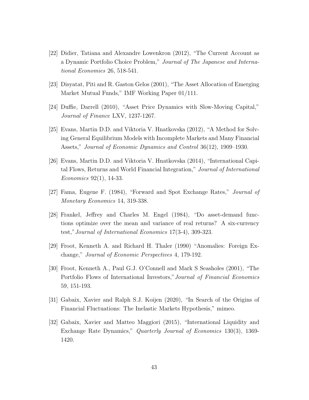- [22] Didier, Tatiana and Alexandre Lowenkron (2012), "The Current Account as a Dynamic Portfolio Choice Problem," Journal of The Japanese and International Economies 26, 518-541.
- [23] Disyatat, Piti and R. Gaston Gelos (2001), "The Asset Allocation of Emerging Market Mutual Funds," IMF Working Paper 01/111.
- [24] Duffie, Darrell (2010), "Asset Price Dynamics with Slow-Moving Capital," Journal of Finance LXV, 1237-1267.
- [25] Evans, Martin D.D. and Viktoria V. Hnatkovska (2012), "A Method for Solving General Equilibrium Models with Incomplete Markets and Many Financial Assets," Journal of Economic Dynamics and Control 36(12), 1909–1930.
- [26] Evans, Martin D.D. and Viktoria V. Hnatkovska (2014), "International Capital Flows, Returns and World Financial Integration," Journal of International Economics 92(1), 14-33.
- [27] Fama, Eugene F. (1984), "Forward and Spot Exchange Rates," Journal of Monetary Economics 14, 319-338.
- [28] Frankel, Jeffrey and Charles M. Engel (1984), "Do asset-demand functions optimize over the mean and variance of real returns? A six-currency test,"Journal of International Economics 17(3-4), 309-323.
- [29] Froot, Kenneth A. and Richard H. Thaler (1990) "Anomalies: Foreign Exchange," Journal of Economic Perspectives 4, 179-192.
- [30] Froot, Kenneth A., Paul G.J. O'Connell and Mark S Seasholes (2001), "The Portfolio Flows of International Investors,"Journal of Financial Economics 59, 151-193.
- [31] Gabaix, Xavier and Ralph S.J. Koijen (2020), "In Search of the Origins of Financial Fluctuations: The Inelastic Markets Hypothesis," mimeo.
- [32] Gabaix, Xavier and Matteo Maggiori (2015), "International Liquidity and Exchange Rate Dynamics," Quarterly Journal of Economics 130(3), 1369- 1420.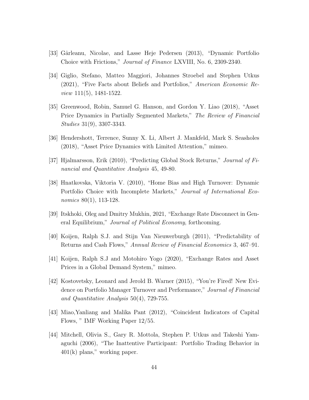- [33] Gârleanu, Nicolae, and Lasse Heje Pedersen (2013), "Dynamic Portfolio Choice with Frictions," Journal of Finance LXVIII, No. 6, 2309-2340.
- [34] Giglio, Stefano, Matteo Maggiori, Johannes Stroebel and Stephen Utkus (2021), "Five Facts about Beliefs and Portfolios," American Economic Review 111(5), 1481-1522.
- [35] Greenwood, Robin, Samuel G. Hanson, and Gordon Y. Liao (2018), "Asset Price Dynamics in Partially Segmented Markets," The Review of Financial Studies 31(9), 3307-3343.
- [36] Hendershott, Terrence, Sunny X. Li, Albert J. Mankfeld, Mark S. Seasholes (2018), "Asset Price Dynamics with Limited Attention," mimeo.
- [37] Hjalmarsson, Erik (2010), "Predicting Global Stock Returns," Journal of Financial and Quantitative Analysis 45, 49-80.
- [38] Hnatkovska, Viktoria V. (2010), "Home Bias and High Turnover: Dynamic Portfolio Choice with Incomplete Markets," Journal of International Economics 80(1), 113-128.
- [39] Itskhoki, Oleg and Dmitry Mukhin, 2021, "Exchange Rate Disconnect in General Equilibrium," Journal of Political Economy, forthcoming.
- [40] Koijen, Ralph S.J. and Stijn Van Nieuwerburgh (2011), "Predictability of Returns and Cash Flows," Annual Review of Financial Economics 3, 467–91.
- [41] Koijen, Ralph S.J and Motohiro Yogo (2020), "Exchange Rates and Asset Prices in a Global Demand System," mimeo.
- [42] Kostovetsky, Leonard and Jerold B. Warner (2015), "You're Fired! New Evidence on Portfolio Manager Turnover and Performance," Journal of Financial and Quantitative Analysis 50(4), 729-755.
- [43] Miao,Yanliang and Malika Pant (2012), "Coincident Indicators of Capital Flows, " IMF Working Paper 12/55.
- [44] Mitchell, Olivia S., Gary R. Mottola, Stephen P. Utkus and Takeshi Yamaguchi (2006), "The Inattentive Participant: Portfolio Trading Behavior in 401(k) plans," working paper.